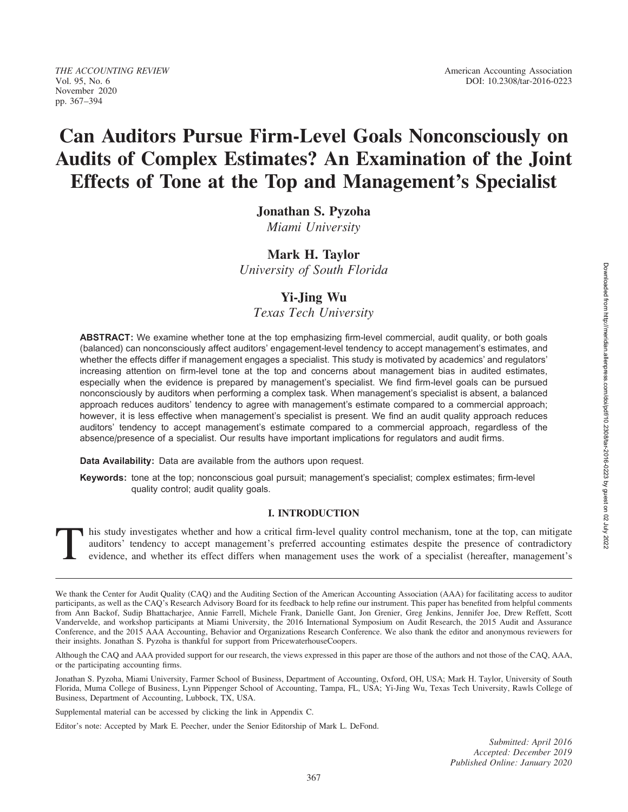# Can Auditors Pursue Firm-Level Goals Nonconsciously on Audits of Complex Estimates? An Examination of the Joint Effects of Tone at the Top and Management's Specialist

Jonathan S. Pyzoha

Miami University

# Mark H. Taylor

University of South Florida

# Yi-Jing Wu

Texas Tech University

ABSTRACT: We examine whether tone at the top emphasizing firm-level commercial, audit quality, or both goals (balanced) can nonconsciously affect auditors' engagement-level tendency to accept management's estimates, and whether the effects differ if management engages a specialist. This study is motivated by academics' and regulators' increasing attention on firm-level tone at the top and concerns about management bias in audited estimates, especially when the evidence is prepared by management's specialist. We find firm-level goals can be pursued nonconsciously by auditors when performing a complex task. When management's specialist is absent, a balanced approach reduces auditors' tendency to agree with management's estimate compared to a commercial approach; however, it is less effective when management's specialist is present. We find an audit quality approach reduces auditors' tendency to accept management's estimate compared to a commercial approach, regardless of the absence/presence of a specialist. Our results have important implications for regulators and audit firms.

Data Availability: Data are available from the authors upon request.

Keywords: tone at the top; nonconscious goal pursuit; management's specialist; complex estimates; firm-level quality control; audit quality goals.

# I. INTRODUCTION

This study investigates whether and how a critical firm-level quality control mechanism, tone at the top, can mitigate auditors' tendency to accept management's preferred accounting estimates despite the presence of contra auditors' tendency to accept management's preferred accounting estimates despite the presence of contradictory evidence, and whether its effect differs when management uses the work of a specialist (hereafter, management's

Although the CAQ and AAA provided support for our research, the views expressed in this paper are those of the authors and not those of the CAQ, AAA, or the participating accounting firms.

Jonathan S. Pyzoha, Miami University, Farmer School of Business, Department of Accounting, Oxford, OH, USA; Mark H. Taylor, University of South Florida, Muma College of Business, Lynn Pippenger School of Accounting, Tampa, FL, USA; Yi-Jing Wu, Texas Tech University, Rawls College of Business, Department of Accounting, Lubbock, TX, USA.

Supplemental material can be accessed by clicking the link in Appendix C.

Editor's note: Accepted by Mark E. Peecher, under the Senior Editorship of Mark L. DeFond.

We thank the Center for Audit Quality (CAQ) and the Auditing Section of the American Accounting Association (AAA) for facilitating access to auditor participants, as well as the CAQ's Research Advisory Board for its feedback to help refine our instrument. This paper has benefited from helpful comments from Ann Backof, Sudip Bhattacharjee, Annie Farrell, Michele Frank, Danielle Gant, Jon Grenier, Greg Jenkins, Jennifer Joe, Drew Reffett, Scott Vandervelde, and workshop participants at Miami University, the 2016 International Symposium on Audit Research, the 2015 Audit and Assurance Conference, and the 2015 AAA Accounting, Behavior and Organizations Research Conference. We also thank the editor and anonymous reviewers for their insights. Jonathan S. Pyzoha is thankful for support from PricewaterhouseCoopers.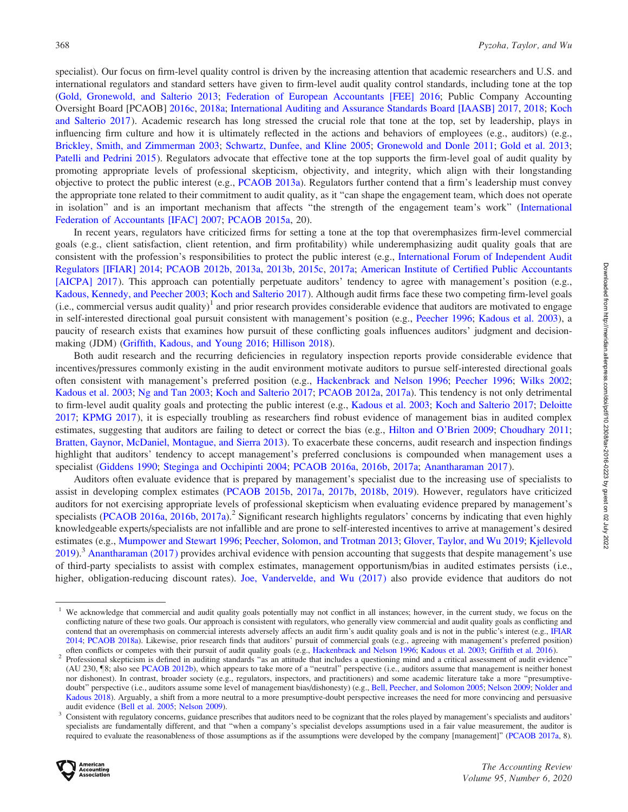specialist). Our focus on firm-level quality control is driven by the increasing attention that academic researchers and U.S. and international regulators and standard setters have given to firm-level audit quality control standards, including tone at the top [\(Gold, Gronewold, and Salterio 2013;](#page-23-0) [Federation of European Accountants \[FEE\] 2016](#page-22-0); Public Company Accounting Oversight Board [PCAOB] [2016c,](#page-25-0) [2018a](#page-25-0); [International Auditing and Assurance Standards Board \[IAASB\] 2017,](#page-23-0) [2018;](#page-23-0) [Koch](#page-24-0) [and Salterio 2017](#page-24-0)). Academic research has long stressed the crucial role that tone at the top, set by leadership, plays in influencing firm culture and how it is ultimately reflected in the actions and behaviors of employees (e.g., auditors) (e.g., [Brickley, Smith, and Zimmerman 2003](#page-22-0); [Schwartz, Dunfee, and Kline 2005;](#page-25-0) [Gronewold and Donle 2011;](#page-23-0) [Gold et al. 2013](#page-23-0); [Patelli and Pedrini 2015](#page-24-0)). Regulators advocate that effective tone at the top supports the firm-level goal of audit quality by promoting appropriate levels of professional skepticism, objectivity, and integrity, which align with their longstanding objective to protect the public interest (e.g., [PCAOB 2013a\)](#page-24-0). Regulators further contend that a firm's leadership must convey the appropriate tone related to their commitment to audit quality, as it ''can shape the engagement team, which does not operate in isolation'' and is an important mechanism that affects ''the strength of the engagement team's work'' [\(International](#page-23-0) [Federation of Accountants \[IFAC\] 2007](#page-23-0); [PCAOB 2015a](#page-24-0), 20).

In recent years, regulators have criticized firms for setting a tone at the top that overemphasizes firm-level commercial goals (e.g., client satisfaction, client retention, and firm profitability) while underemphasizing audit quality goals that are consistent with the profession's responsibilities to protect the public interest (e.g., [International Forum of Independent Audit](#page-23-0) [Regulators \[IFIAR\] 2014](#page-23-0); [PCAOB 2012b,](#page-24-0) [2013a](#page-24-0), [2013b](#page-24-0), [2015c](#page-25-0), [2017a;](#page-25-0) [American Institute of Certified Public Accountants](#page-21-0) [\[AICPA\] 2017](#page-21-0)). This approach can potentially perpetuate auditors' tendency to agree with management's position (e.g., [Kadous, Kennedy, and Peecher 2003](#page-23-0); [Koch and Salterio 2017](#page-24-0)). Although audit firms face these two competing firm-level goals (i.e., commercial versus audit quality)<sup>1</sup> and prior research provides considerable evidence that auditors are motivated to engage in self-interested directional goal pursuit consistent with management's position (e.g., [Peecher 1996;](#page-24-0) [Kadous et al. 2003](#page-23-0)), a paucity of research exists that examines how pursuit of these conflicting goals influences auditors' judgment and decisionmaking (JDM) [\(Griffith, Kadous, and Young 2016;](#page-23-0) [Hillison 2018\)](#page-23-0).

Both audit research and the recurring deficiencies in regulatory inspection reports provide considerable evidence that incentives/pressures commonly existing in the audit environment motivate auditors to pursue self-interested directional goals often consistent with management's preferred position (e.g., [Hackenbrack and Nelson 1996;](#page-23-0) [Peecher 1996;](#page-24-0) [Wilks 2002](#page-25-0); [Kadous et al. 2003](#page-23-0); [Ng and Tan 2003](#page-24-0); [Koch and Salterio 2017](#page-24-0); [PCAOB 2012a,](#page-24-0) [2017a\)](#page-25-0). This tendency is not only detrimental to firm-level audit quality goals and protecting the public interest (e.g., [Kadous et al. 2003](#page-23-0); [Koch and Salterio 2017](#page-24-0); [Deloitte](#page-22-0) [2017;](#page-22-0) [KPMG 2017](#page-24-0)), it is especially troubling as researchers find robust evidence of management bias in audited complex estimates, suggesting that auditors are failing to detect or correct the bias (e.g., [Hilton and O'Brien 2009;](#page-23-0) [Choudhary 2011](#page-22-0); [Bratten, Gaynor, McDaniel, Montague, and Sierra 2013\)](#page-22-0). To exacerbate these concerns, audit research and inspection findings highlight that auditors' tendency to accept management's preferred conclusions is compounded when management uses a specialist [\(Giddens 1990](#page-23-0); [Steginga and Occhipinti 2004](#page-25-0); [PCAOB 2016a,](#page-25-0) [2016b,](#page-25-0) [2017a;](#page-25-0) [Anantharaman 2017](#page-21-0)).

Auditors often evaluate evidence that is prepared by management's specialist due to the increasing use of specialists to assist in developing complex estimates ([PCAOB 2015b](#page-25-0), [2017a,](#page-25-0) [2017b](#page-25-0), [2018b,](#page-25-0) [2019](#page-25-0)). However, regulators have criticized auditors for not exercising appropriate levels of professional skepticism when evaluating evidence prepared by management's specialists [\(PCAOB 2016a,](#page-25-0) [2016b,](#page-25-0) [2017a](#page-25-0)).<sup>2</sup> Significant research highlights regulators' concerns by indicating that even highly knowledgeable experts/specialists are not infallible and are prone to self-interested incentives to arrive at management's desired estimates (e.g., [Mumpower and Stewart 1996;](#page-24-0) [Peecher, Solomon, and Trotman 2013;](#page-24-0) [Glover, Taylor, and Wu 2019](#page-23-0); [Kjellevold](#page-24-0) [2019\)](#page-24-0).<sup>3</sup> [Anantharaman \(2017\)](#page-21-0) provides archival evidence with pension accounting that suggests that despite management's use of third-party specialists to assist with complex estimates, management opportunism/bias in audited estimates persists (i.e., higher, obligation-reducing discount rates). [Joe, Vandervelde, and Wu \(2017\)](#page-23-0) also provide evidence that auditors do not

audit evidence ([Bell et al. 2005;](#page-22-0) [Nelson 2009](#page-24-0)).<br><sup>3</sup> Consistent with regulatory concerns, guidance prescribes that auditors need to be cognizant that the roles played by management's specialists and auditors' specialists are fundamentally different, and that ''when a company's specialist develops assumptions used in a fair value measurement, the auditor is required to evaluate the reasonableness of those assumptions as if the assumptions were developed by the company [management]" ([PCAOB 2017a,](#page-25-0) 8).



We acknowledge that commercial and audit quality goals potentially may not conflict in all instances; however, in the current study, we focus on the conflicting nature of these two goals. Our approach is consistent with regulators, who generally view commercial and audit quality goals as conflicting and contend that an overemphasis on commercial interests adversely affects an audit firm's audit quality goals and is not in the public's interest (e.g., [IFIAR](#page-23-0) [2014](#page-23-0); [PCAOB 2018a\)](#page-25-0). Likewise, prior research finds that auditors' pursuit of commercial goals (e.g., agreeing with management's preferred position)

often conflicts or competes with their pursuit of audit quality goals (e.g., [Hackenbrack and Nelson 1996;](#page-23-0) [Kadous et al. 2003;](#page-23-0) [Griffith et al. 2016](#page-23-0)).<br><sup>2</sup> Professional skepticism is defined in auditing standards "as an attit (AU 230, <sup>[8]</sup>; also see [PCAOB 2012b](#page-24-0)), which appears to take more of a "neutral" perspective (i.e., auditors assume that management is neither honest nor dishonest). In contrast, broader society (e.g., regulators, inspectors, and practitioners) and some academic literature take a more ''presumptive-doubt" perspective (i.e., auditors assume some level of management bias/dishonesty) (e.g., [Bell, Peecher, and Solomon 2005](#page-22-0); [Nelson 2009](#page-24-0); [Nolder and](#page-24-0) [Kadous 2018](#page-24-0)). Arguably, a shift from a more neutral to a more presumptive-doubt perspective increases the need for more convincing and persuasive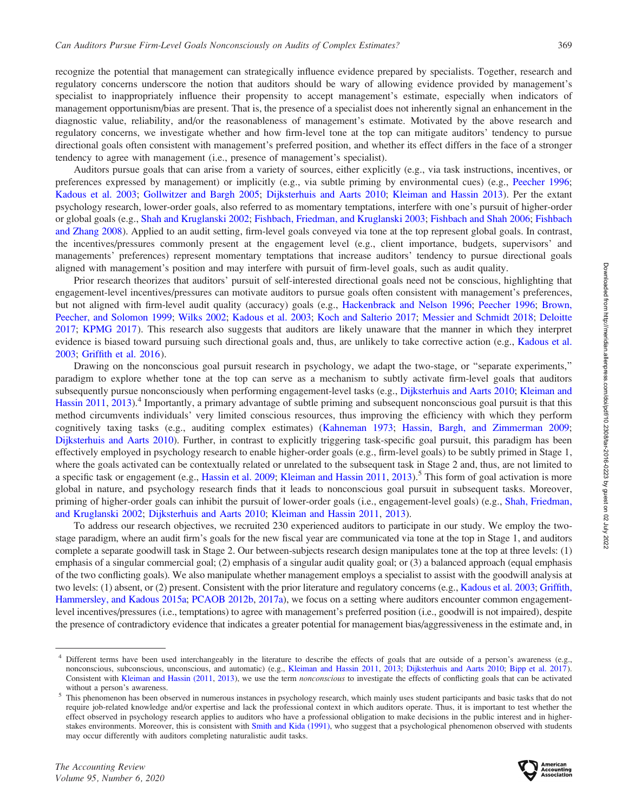recognize the potential that management can strategically influence evidence prepared by specialists. Together, research and regulatory concerns underscore the notion that auditors should be wary of allowing evidence provided by management's specialist to inappropriately influence their propensity to accept management's estimate, especially when indicators of management opportunism/bias are present. That is, the presence of a specialist does not inherently signal an enhancement in the diagnostic value, reliability, and/or the reasonableness of management's estimate. Motivated by the above research and regulatory concerns, we investigate whether and how firm-level tone at the top can mitigate auditors' tendency to pursue directional goals often consistent with management's preferred position, and whether its effect differs in the face of a stronger tendency to agree with management (i.e., presence of management's specialist).

Auditors pursue goals that can arise from a variety of sources, either explicitly (e.g., via task instructions, incentives, or preferences expressed by management) or implicitly (e.g., via subtle priming by environmental cues) (e.g., [Peecher 1996](#page-24-0); [Kadous et al. 2003](#page-23-0); [Gollwitzer and Bargh 2005](#page-23-0); [Dijksterhuis and Aarts 2010](#page-22-0); [Kleiman and Hassin 2013\)](#page-24-0). Per the extant psychology research, lower-order goals, also referred to as momentary temptations, interfere with one's pursuit of higher-order or global goals (e.g., [Shah and Kruglanski 2002](#page-25-0); [Fishbach, Friedman, and Kruglanski 2003;](#page-22-0) [Fishbach and Shah 2006](#page-22-0); [Fishbach](#page-22-0) [and Zhang 2008](#page-22-0)). Applied to an audit setting, firm-level goals conveyed via tone at the top represent global goals. In contrast, the incentives/pressures commonly present at the engagement level (e.g., client importance, budgets, supervisors' and managements' preferences) represent momentary temptations that increase auditors' tendency to pursue directional goals aligned with management's position and may interfere with pursuit of firm-level goals, such as audit quality.

Prior research theorizes that auditors' pursuit of self-interested directional goals need not be conscious, highlighting that engagement-level incentives/pressures can motivate auditors to pursue goals often consistent with management's preferences, but not aligned with firm-level audit quality (accuracy) goals (e.g., [Hackenbrack and Nelson 1996](#page-23-0); [Peecher 1996;](#page-24-0) [Brown,](#page-22-0) [Peecher, and Solomon 1999;](#page-22-0) [Wilks 2002;](#page-25-0) [Kadous et al. 2003;](#page-23-0) [Koch and Salterio 2017;](#page-24-0) [Messier and Schmidt 2018](#page-24-0); [Deloitte](#page-22-0) [2017;](#page-22-0) [KPMG 2017](#page-24-0)). This research also suggests that auditors are likely unaware that the manner in which they interpret evidence is biased toward pursuing such directional goals and, thus, are unlikely to take corrective action (e.g., [Kadous et al.](#page-23-0) [2003;](#page-23-0) [Griffith et al. 2016](#page-23-0)).

Drawing on the nonconscious goal pursuit research in psychology, we adapt the two-stage, or ''separate experiments,'' paradigm to explore whether tone at the top can serve as a mechanism to subtly activate firm-level goals that auditors subsequently pursue nonconsciously when performing engagement-level tasks (e.g., [Dijksterhuis and Aarts 2010;](#page-22-0) [Kleiman and](#page-24-0) [Hassin 2011,](#page-24-0) [2013\)](#page-24-0).<sup>4</sup> Importantly, a primary advantage of subtle priming and subsequent nonconscious goal pursuit is that this method circumvents individuals' very limited conscious resources, thus improving the efficiency with which they perform cognitively taxing tasks (e.g., auditing complex estimates) [\(Kahneman 1973;](#page-23-0) [Hassin, Bargh, and Zimmerman 2009](#page-23-0); [Dijksterhuis and Aarts 2010](#page-22-0)). Further, in contrast to explicitly triggering task-specific goal pursuit, this paradigm has been effectively employed in psychology research to enable higher-order goals (e.g., firm-level goals) to be subtly primed in Stage 1, where the goals activated can be contextually related or unrelated to the subsequent task in Stage 2 and, thus, are not limited to a specific task or engagement (e.g., [Hassin et al. 2009](#page-23-0); Kleiman and Hassin  $2011$ ,  $2013$ ).<sup>5</sup> This form of goal activation is more global in nature, and psychology research finds that it leads to nonconscious goal pursuit in subsequent tasks. Moreover, priming of higher-order goals can inhibit the pursuit of lower-order goals (i.e., engagement-level goals) (e.g., [Shah, Friedman,](#page-25-0) [and Kruglanski 2002;](#page-25-0) [Dijksterhuis and Aarts 2010;](#page-22-0) [Kleiman and Hassin 2011,](#page-24-0) [2013\)](#page-24-0).

To address our research objectives, we recruited 230 experienced auditors to participate in our study. We employ the twostage paradigm, where an audit firm's goals for the new fiscal year are communicated via tone at the top in Stage 1, and auditors complete a separate goodwill task in Stage 2. Our between-subjects research design manipulates tone at the top at three levels: (1) emphasis of a singular commercial goal; (2) emphasis of a singular audit quality goal; or (3) a balanced approach (equal emphasis of the two conflicting goals). We also manipulate whether management employs a specialist to assist with the goodwill analysis at two levels: (1) absent, or (2) present. Consistent with the prior literature and regulatory concerns (e.g., [Kadous et al. 2003;](#page-23-0) [Griffith,](#page-23-0) [Hammersley, and Kadous 2015a;](#page-23-0) [PCAOB 2012b](#page-24-0), [2017a](#page-25-0)), we focus on a setting where auditors encounter common engagementlevel incentives/pressures (i.e., temptations) to agree with management's preferred position (i.e., goodwill is not impaired), despite the presence of contradictory evidence that indicates a greater potential for management bias/aggressiveness in the estimate and, in



<sup>4</sup> Different terms have been used interchangeably in the literature to describe the effects of goals that are outside of a person's awareness (e.g., nonconscious, subconscious, unconscious, and automatic) (e.g., [Kleiman and Hassin 2011](#page-24-0), [2013](#page-24-0); [Dijksterhuis and Aarts 2010;](#page-22-0) [Bipp et al. 2017](#page-22-0)). Consistent with [Kleiman and Hassin \(2011,](#page-24-0) [2013\)](#page-24-0), we use the term nonconscious to investigate the effects of conflicting goals that can be activated

without a person's awareness.<br>This phenomenon has been observed in numerous instances in psychology research, which mainly uses student participants and basic tasks that do not require job-related knowledge and/or expertise and lack the professional context in which auditors operate. Thus, it is important to test whether the effect observed in psychology research applies to auditors who have a professional obligation to make decisions in the public interest and in higherstakes environments. Moreover, this is consistent with [Smith and Kida \(1991\),](#page-25-0) who suggest that a psychological phenomenon observed with students may occur differently with auditors completing naturalistic audit tasks.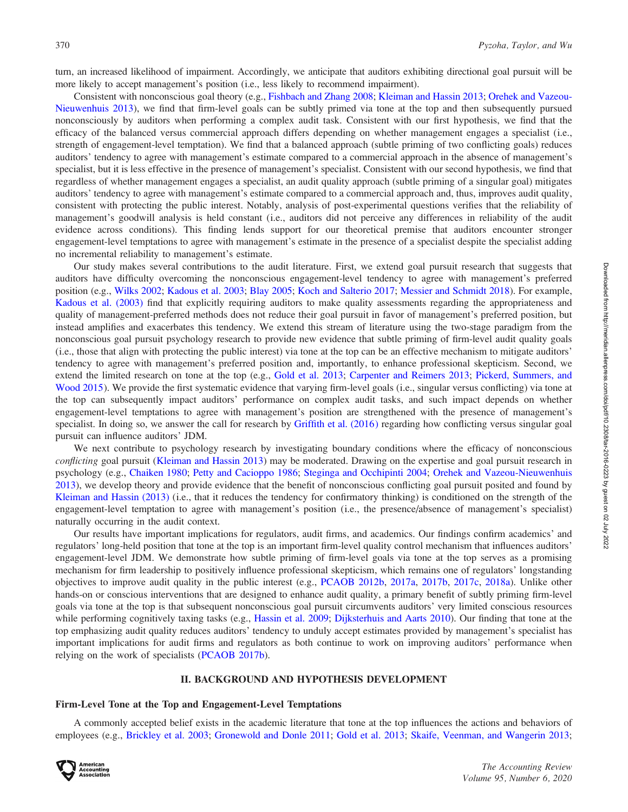turn, an increased likelihood of impairment. Accordingly, we anticipate that auditors exhibiting directional goal pursuit will be more likely to accept management's position (i.e., less likely to recommend impairment).

Consistent with nonconscious goal theory (e.g., [Fishbach and Zhang 2008](#page-22-0); [Kleiman and Hassin 2013](#page-24-0); [Orehek and Vazeou-](#page-24-0)[Nieuwenhuis 2013](#page-24-0)), we find that firm-level goals can be subtly primed via tone at the top and then subsequently pursued nonconsciously by auditors when performing a complex audit task. Consistent with our first hypothesis, we find that the efficacy of the balanced versus commercial approach differs depending on whether management engages a specialist (i.e., strength of engagement-level temptation). We find that a balanced approach (subtle priming of two conflicting goals) reduces auditors' tendency to agree with management's estimate compared to a commercial approach in the absence of management's specialist, but it is less effective in the presence of management's specialist. Consistent with our second hypothesis, we find that regardless of whether management engages a specialist, an audit quality approach (subtle priming of a singular goal) mitigates auditors' tendency to agree with management's estimate compared to a commercial approach and, thus, improves audit quality, consistent with protecting the public interest. Notably, analysis of post-experimental questions verifies that the reliability of management's goodwill analysis is held constant (i.e., auditors did not perceive any differences in reliability of the audit evidence across conditions). This finding lends support for our theoretical premise that auditors encounter stronger engagement-level temptations to agree with management's estimate in the presence of a specialist despite the specialist adding no incremental reliability to management's estimate.

Our study makes several contributions to the audit literature. First, we extend goal pursuit research that suggests that auditors have difficulty overcoming the nonconscious engagement-level tendency to agree with management's preferred position (e.g., [Wilks 2002;](#page-25-0) [Kadous et al. 2003](#page-23-0); [Blay 2005](#page-22-0); [Koch and Salterio 2017](#page-24-0); [Messier and Schmidt 2018](#page-24-0)). For example, [Kadous et al. \(2003\)](#page-23-0) find that explicitly requiring auditors to make quality assessments regarding the appropriateness and quality of management-preferred methods does not reduce their goal pursuit in favor of management's preferred position, but instead amplifies and exacerbates this tendency. We extend this stream of literature using the two-stage paradigm from the nonconscious goal pursuit psychology research to provide new evidence that subtle priming of firm-level audit quality goals (i.e., those that align with protecting the public interest) via tone at the top can be an effective mechanism to mitigate auditors' tendency to agree with management's preferred position and, importantly, to enhance professional skepticism. Second, we extend the limited research on tone at the top (e.g., [Gold et al. 2013;](#page-23-0) [Carpenter and Reimers 2013;](#page-22-0) [Pickerd, Summers, and](#page-24-0) [Wood 2015](#page-24-0)). We provide the first systematic evidence that varying firm-level goals (i.e., singular versus conflicting) via tone at the top can subsequently impact auditors' performance on complex audit tasks, and such impact depends on whether engagement-level temptations to agree with management's position are strengthened with the presence of management's specialist. In doing so, we answer the call for research by [Griffith et al. \(2016\)](#page-23-0) regarding how conflicting versus singular goal pursuit can influence auditors' JDM.

We next contribute to psychology research by investigating boundary conditions where the efficacy of nonconscious conflicting goal pursuit [\(Kleiman and Hassin 2013\)](#page-24-0) may be moderated. Drawing on the expertise and goal pursuit research in psychology (e.g., [Chaiken 1980](#page-22-0); [Petty and Cacioppo 1986](#page-24-0); [Steginga and Occhipinti 2004;](#page-25-0) [Orehek and Vazeou-Nieuwenhuis](#page-24-0) [2013\)](#page-24-0), we develop theory and provide evidence that the benefit of nonconscious conflicting goal pursuit posited and found by [Kleiman and Hassin \(2013\)](#page-24-0) (i.e., that it reduces the tendency for confirmatory thinking) is conditioned on the strength of the engagement-level temptation to agree with management's position (i.e., the presence/absence of management's specialist) naturally occurring in the audit context.

Our results have important implications for regulators, audit firms, and academics. Our findings confirm academics' and regulators' long-held position that tone at the top is an important firm-level quality control mechanism that influences auditors' engagement-level JDM. We demonstrate how subtle priming of firm-level goals via tone at the top serves as a promising mechanism for firm leadership to positively influence professional skepticism, which remains one of regulators' longstanding objectives to improve audit quality in the public interest (e.g., [PCAOB 2012b,](#page-24-0) [2017a](#page-25-0), [2017b](#page-25-0), [2017c](#page-25-0), [2018a\)](#page-25-0). Unlike other hands-on or conscious interventions that are designed to enhance audit quality, a primary benefit of subtly priming firm-level goals via tone at the top is that subsequent nonconscious goal pursuit circumvents auditors' very limited conscious resources while performing cognitively taxing tasks (e.g., [Hassin et al. 2009;](#page-23-0) [Dijksterhuis and Aarts 2010](#page-22-0)). Our finding that tone at the top emphasizing audit quality reduces auditors' tendency to unduly accept estimates provided by management's specialist has important implications for audit firms and regulators as both continue to work on improving auditors' performance when relying on the work of specialists [\(PCAOB 2017b\)](#page-25-0).

#### II. BACKGROUND AND HYPOTHESIS DEVELOPMENT

### Firm-Level Tone at the Top and Engagement-Level Temptations

A commonly accepted belief exists in the academic literature that tone at the top influences the actions and behaviors of employees (e.g., [Brickley et al. 2003](#page-22-0); [Gronewold and Donle 2011](#page-23-0); [Gold et al. 2013;](#page-23-0) [Skaife, Veenman, and Wangerin 2013](#page-25-0);

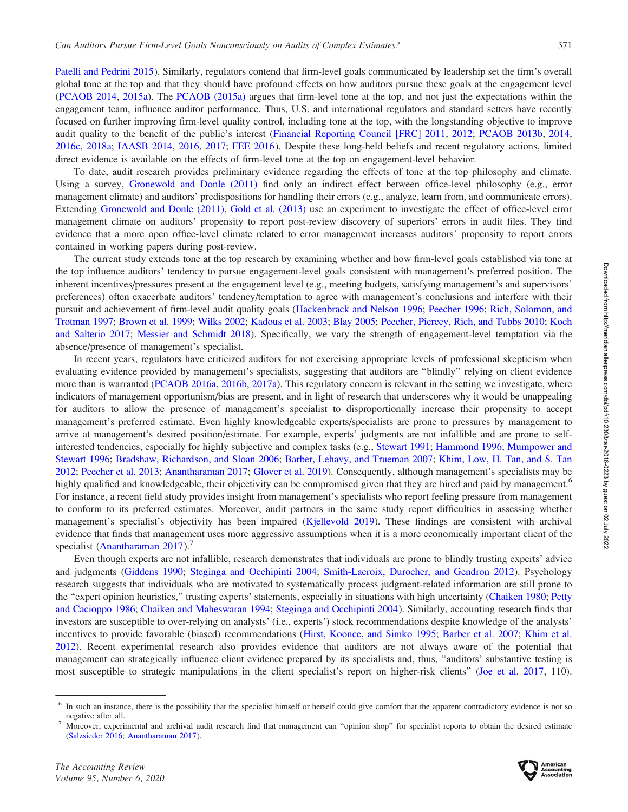[Patelli and Pedrini 2015](#page-24-0)). Similarly, regulators contend that firm-level goals communicated by leadership set the firm's overall global tone at the top and that they should have profound effects on how auditors pursue these goals at the engagement level [\(PCAOB 2014,](#page-24-0) [2015a](#page-24-0)). The [PCAOB \(2015a\)](#page-24-0) argues that firm-level tone at the top, and not just the expectations within the engagement team, influence auditor performance. Thus, U.S. and international regulators and standard setters have recently focused on further improving firm-level quality control, including tone at the top, with the longstanding objective to improve audit quality to the benefit of the public's interest [\(Financial Reporting Council \[FRC\] 2011,](#page-22-0) [2012;](#page-22-0) [PCAOB 2013b](#page-24-0), [2014](#page-24-0), [2016c](#page-25-0), [2018a;](#page-25-0) [IAASB 2014](#page-23-0), [2016](#page-23-0), [2017](#page-23-0); [FEE 2016](#page-22-0)). Despite these long-held beliefs and recent regulatory actions, limited direct evidence is available on the effects of firm-level tone at the top on engagement-level behavior.

To date, audit research provides preliminary evidence regarding the effects of tone at the top philosophy and climate. Using a survey, [Gronewold and Donle \(2011\)](#page-23-0) find only an indirect effect between office-level philosophy (e.g., error management climate) and auditors' predispositions for handling their errors (e.g., analyze, learn from, and communicate errors). Extending [Gronewold and Donle \(2011\),](#page-23-0) [Gold et al. \(2013\)](#page-23-0) use an experiment to investigate the effect of office-level error management climate on auditors' propensity to report post-review discovery of superiors' errors in audit files. They find evidence that a more open office-level climate related to error management increases auditors' propensity to report errors contained in working papers during post-review.

The current study extends tone at the top research by examining whether and how firm-level goals established via tone at the top influence auditors' tendency to pursue engagement-level goals consistent with management's preferred position. The inherent incentives/pressures present at the engagement level (e.g., meeting budgets, satisfying management's and supervisors' preferences) often exacerbate auditors' tendency/temptation to agree with management's conclusions and interfere with their pursuit and achievement of firm-level audit quality goals [\(Hackenbrack and Nelson 1996](#page-23-0); [Peecher 1996](#page-24-0); [Rich, Solomon, and](#page-25-0) [Trotman 1997;](#page-25-0) [Brown et al. 1999;](#page-22-0) [Wilks 2002](#page-25-0); [Kadous et al. 2003;](#page-23-0) [Blay 2005](#page-22-0); [Peecher, Piercey, Rich, and Tubbs 2010](#page-24-0); [Koch](#page-24-0) [and Salterio 2017](#page-24-0); [Messier and Schmidt 2018\)](#page-24-0). Specifically, we vary the strength of engagement-level temptation via the absence/presence of management's specialist.

In recent years, regulators have criticized auditors for not exercising appropriate levels of professional skepticism when evaluating evidence provided by management's specialists, suggesting that auditors are ''blindly'' relying on client evidence more than is warranted ([PCAOB 2016a,](#page-25-0) [2016b,](#page-25-0) [2017a](#page-25-0)). This regulatory concern is relevant in the setting we investigate, where indicators of management opportunism/bias are present, and in light of research that underscores why it would be unappealing for auditors to allow the presence of management's specialist to disproportionally increase their propensity to accept management's preferred estimate. Even highly knowledgeable experts/specialists are prone to pressures by management to arrive at management's desired position/estimate. For example, experts' judgments are not infallible and are prone to selfinterested tendencies, especially for highly subjective and complex tasks (e.g., [Stewart 1991;](#page-25-0) [Hammond 1996](#page-23-0); [Mumpower and](#page-24-0) [Stewart 1996](#page-24-0); [Bradshaw, Richardson, and Sloan 2006](#page-22-0); [Barber, Lehavy, and Trueman 2007](#page-21-0); [Khim, Low, H. Tan, and S. Tan](#page-23-0) [2012;](#page-23-0) [Peecher et al. 2013](#page-24-0); [Anantharaman 2017;](#page-21-0) [Glover et al. 2019\)](#page-23-0). Consequently, although management's specialists may be highly qualified and knowledgeable, their objectivity can be compromised given that they are hired and paid by management.<sup>6</sup> For instance, a recent field study provides insight from management's specialists who report feeling pressure from management to conform to its preferred estimates. Moreover, audit partners in the same study report difficulties in assessing whether management's specialist's objectivity has been impaired [\(Kjellevold 2019](#page-24-0)). These findings are consistent with archival evidence that finds that management uses more aggressive assumptions when it is a more economically important client of the specialist (Anantharaman  $2017$ ).<sup>7</sup>

Even though experts are not infallible, research demonstrates that individuals are prone to blindly trusting experts' advice and judgments [\(Giddens 1990;](#page-23-0) [Steginga and Occhipinti 2004;](#page-25-0) [Smith-Lacroix, Durocher, and Gendron 2012\)](#page-25-0). Psychology research suggests that individuals who are motivated to systematically process judgment-related information are still prone to the "expert opinion heuristics," trusting experts' statements, especially in situations with high uncertainty [\(Chaiken 1980;](#page-22-0) [Petty](#page-24-0) [and Cacioppo 1986;](#page-24-0) [Chaiken and Maheswaran 1994;](#page-22-0) [Steginga and Occhipinti 2004](#page-25-0)). Similarly, accounting research finds that investors are susceptible to over-relying on analysts' (i.e., experts') stock recommendations despite knowledge of the analysts' incentives to provide favorable (biased) recommendations ([Hirst, Koonce, and Simko 1995;](#page-23-0) [Barber et al. 2007;](#page-21-0) [Khim et al.](#page-23-0) [2012\)](#page-23-0). Recent experimental research also provides evidence that auditors are not always aware of the potential that management can strategically influence client evidence prepared by its specialists and, thus, ''auditors' substantive testing is most susceptible to strategic manipulations in the client specialist's report on higher-risk clients" [\(Joe et al. 2017](#page-23-0), 110).



In such an instance, there is the possibility that the specialist himself or herself could give comfort that the apparent contradictory evidence is not so negative after all.<br>Moreover, experimental and archival audit research find that management can "opinion shop" for specialist reports to obtain the desired estimate

<sup>(</sup>[Salzsieder 2016](#page-25-0); [Anantharaman 2017](#page-21-0)).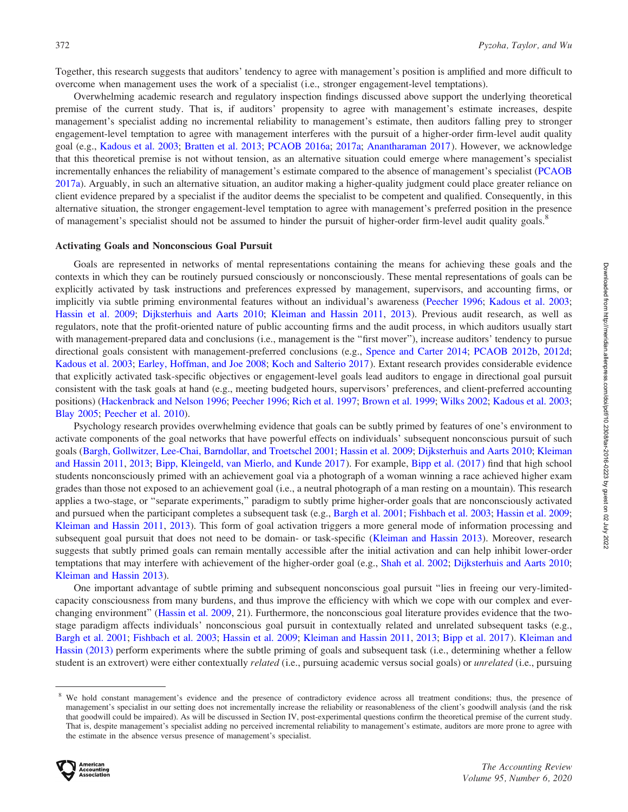Together, this research suggests that auditors' tendency to agree with management's position is amplified and more difficult to overcome when management uses the work of a specialist (i.e., stronger engagement-level temptations).

Overwhelming academic research and regulatory inspection findings discussed above support the underlying theoretical premise of the current study. That is, if auditors' propensity to agree with management's estimate increases, despite management's specialist adding no incremental reliability to management's estimate, then auditors falling prey to stronger engagement-level temptation to agree with management interferes with the pursuit of a higher-order firm-level audit quality goal (e.g., [Kadous et al. 2003](#page-23-0); [Bratten et al. 2013](#page-22-0); [PCAOB 2016a;](#page-25-0) [2017a](#page-25-0); [Anantharaman 2017](#page-21-0)). However, we acknowledge that this theoretical premise is not without tension, as an alternative situation could emerge where management's specialist incrementally enhances the reliability of management's estimate compared to the absence of management's specialist ([PCAOB](#page-25-0) [2017a](#page-25-0)). Arguably, in such an alternative situation, an auditor making a higher-quality judgment could place greater reliance on client evidence prepared by a specialist if the auditor deems the specialist to be competent and qualified. Consequently, in this alternative situation, the stronger engagement-level temptation to agree with management's preferred position in the presence of management's specialist should not be assumed to hinder the pursuit of higher-order firm-level audit quality goals.<sup>8</sup>

#### Activating Goals and Nonconscious Goal Pursuit

Goals are represented in networks of mental representations containing the means for achieving these goals and the contexts in which they can be routinely pursued consciously or nonconsciously. These mental representations of goals can be explicitly activated by task instructions and preferences expressed by management, supervisors, and accounting firms, or implicitly via subtle priming environmental features without an individual's awareness ([Peecher 1996;](#page-24-0) [Kadous et al. 2003](#page-23-0); [Hassin et al. 2009;](#page-23-0) [Dijksterhuis and Aarts 2010](#page-22-0); [Kleiman and Hassin 2011,](#page-24-0) [2013](#page-24-0)). Previous audit research, as well as regulators, note that the profit-oriented nature of public accounting firms and the audit process, in which auditors usually start with management-prepared data and conclusions (i.e., management is the "first mover"), increase auditors' tendency to pursue directional goals consistent with management-preferred conclusions (e.g., [Spence and Carter 2014;](#page-25-0) [PCAOB 2012b](#page-24-0), [2012d](#page-24-0); [Kadous et al. 2003](#page-23-0); [Earley, Hoffman, and Joe 2008;](#page-22-0) [Koch and Salterio 2017](#page-24-0)). Extant research provides considerable evidence that explicitly activated task-specific objectives or engagement-level goals lead auditors to engage in directional goal pursuit consistent with the task goals at hand (e.g., meeting budgeted hours, supervisors' preferences, and client-preferred accounting positions) ([Hackenbrack and Nelson 1996](#page-23-0); [Peecher 1996;](#page-24-0) [Rich et al. 1997;](#page-25-0) [Brown et al. 1999](#page-22-0); [Wilks 2002;](#page-25-0) [Kadous et al. 2003](#page-23-0); [Blay 2005;](#page-22-0) [Peecher et al. 2010\)](#page-24-0).

Psychology research provides overwhelming evidence that goals can be subtly primed by features of one's environment to activate components of the goal networks that have powerful effects on individuals' subsequent nonconscious pursuit of such goals ([Bargh, Gollwitzer, Lee-Chai, Barndollar, and Troetschel 2001;](#page-21-0) [Hassin et al. 2009;](#page-23-0) [Dijksterhuis and Aarts 2010;](#page-22-0) [Kleiman](#page-24-0) [and Hassin 2011,](#page-24-0) [2013](#page-24-0); [Bipp, Kleingeld, van Mierlo, and Kunde 2017](#page-22-0)). For example, [Bipp et al. \(2017\)](#page-22-0) find that high school students nonconsciously primed with an achievement goal via a photograph of a woman winning a race achieved higher exam grades than those not exposed to an achievement goal (i.e., a neutral photograph of a man resting on a mountain). This research applies a two-stage, or ''separate experiments,'' paradigm to subtly prime higher-order goals that are nonconsciously activated and pursued when the participant completes a subsequent task (e.g., [Bargh et al. 2001;](#page-21-0) [Fishbach et al. 2003;](#page-22-0) [Hassin et al. 2009](#page-23-0); [Kleiman and Hassin 2011,](#page-24-0) [2013\)](#page-24-0). This form of goal activation triggers a more general mode of information processing and subsequent goal pursuit that does not need to be domain- or task-specific [\(Kleiman and Hassin 2013](#page-24-0)). Moreover, research suggests that subtly primed goals can remain mentally accessible after the initial activation and can help inhibit lower-order temptations that may interfere with achievement of the higher-order goal (e.g., [Shah et al. 2002;](#page-25-0) [Dijksterhuis and Aarts 2010](#page-22-0); [Kleiman and Hassin 2013](#page-24-0)).

One important advantage of subtle priming and subsequent nonconscious goal pursuit "lies in freeing our very-limitedcapacity consciousness from many burdens, and thus improve the efficiency with which we cope with our complex and everchanging environment'' ([Hassin et al. 2009,](#page-23-0) 21). Furthermore, the nonconscious goal literature provides evidence that the twostage paradigm affects individuals' nonconscious goal pursuit in contextually related and unrelated subsequent tasks (e.g., [Bargh et al. 2001](#page-21-0); [Fishbach et al. 2003;](#page-22-0) [Hassin et al. 2009](#page-23-0); [Kleiman and Hassin 2011,](#page-24-0) [2013](#page-24-0); [Bipp et al. 2017](#page-22-0)). [Kleiman and](#page-24-0) [Hassin \(2013\)](#page-24-0) perform experiments where the subtle priming of goals and subsequent task (i.e., determining whether a fellow student is an extrovert) were either contextually *related* (i.e., pursuing academic versus social goals) or *unrelated* (i.e., pursuing

<sup>&</sup>lt;sup>8</sup> We hold constant management's evidence and the presence of contradictory evidence across all treatment conditions; thus, the presence of management's specialist in our setting does not incrementally increase the reliability or reasonableness of the client's goodwill analysis (and the risk that goodwill could be impaired). As will be discussed in Section IV, post-experimental questions confirm the theoretical premise of the current study. That is, despite management's specialist adding no perceived incremental reliability to management's estimate, auditors are more prone to agree with the estimate in the absence versus presence of management's specialist.

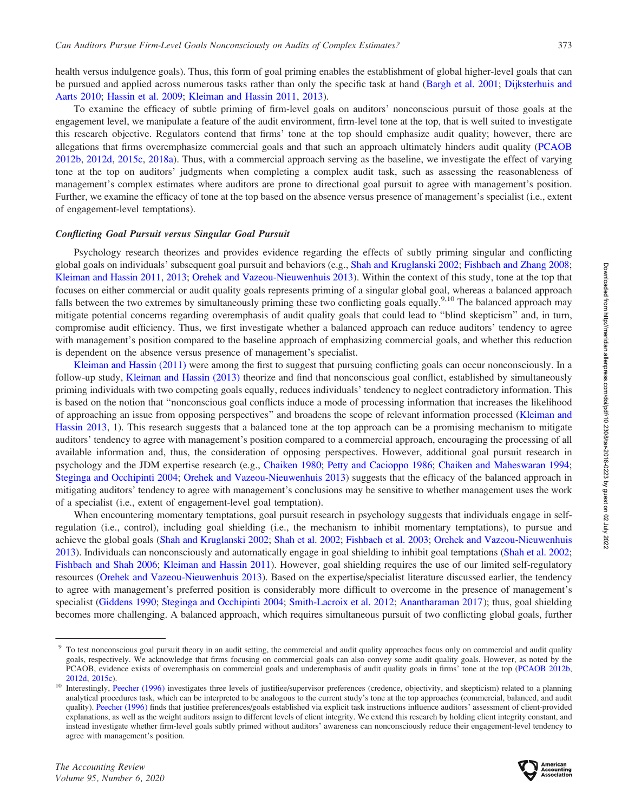health versus indulgence goals). Thus, this form of goal priming enables the establishment of global higher-level goals that can be pursued and applied across numerous tasks rather than only the specific task at hand [\(Bargh et al. 2001](#page-21-0); [Dijksterhuis and](#page-22-0) [Aarts 2010;](#page-22-0) [Hassin et al. 2009](#page-23-0); [Kleiman and Hassin 2011](#page-24-0), [2013](#page-24-0)).

To examine the efficacy of subtle priming of firm-level goals on auditors' nonconscious pursuit of those goals at the engagement level, we manipulate a feature of the audit environment, firm-level tone at the top, that is well suited to investigate this research objective. Regulators contend that firms' tone at the top should emphasize audit quality; however, there are allegations that firms overemphasize commercial goals and that such an approach ultimately hinders audit quality ([PCAOB](#page-24-0) [2012b,](#page-24-0) [2012d](#page-24-0), [2015c](#page-25-0), [2018a](#page-25-0)). Thus, with a commercial approach serving as the baseline, we investigate the effect of varying tone at the top on auditors' judgments when completing a complex audit task, such as assessing the reasonableness of management's complex estimates where auditors are prone to directional goal pursuit to agree with management's position. Further, we examine the efficacy of tone at the top based on the absence versus presence of management's specialist (i.e., extent of engagement-level temptations).

#### Conflicting Goal Pursuit versus Singular Goal Pursuit

Psychology research theorizes and provides evidence regarding the effects of subtly priming singular and conflicting global goals on individuals' subsequent goal pursuit and behaviors (e.g., [Shah and Kruglanski 2002;](#page-25-0) [Fishbach and Zhang 2008](#page-22-0); [Kleiman and Hassin 2011](#page-24-0), [2013](#page-24-0); [Orehek and Vazeou-Nieuwenhuis 2013\)](#page-24-0). Within the context of this study, tone at the top that focuses on either commercial or audit quality goals represents priming of a singular global goal, whereas a balanced approach falls between the two extremes by simultaneously priming these two conflicting goals equally.<sup>9,10</sup> The balanced approach may mitigate potential concerns regarding overemphasis of audit quality goals that could lead to ''blind skepticism'' and, in turn, compromise audit efficiency. Thus, we first investigate whether a balanced approach can reduce auditors' tendency to agree with management's position compared to the baseline approach of emphasizing commercial goals, and whether this reduction is dependent on the absence versus presence of management's specialist.

[Kleiman and Hassin \(2011\)](#page-24-0) were among the first to suggest that pursuing conflicting goals can occur nonconsciously. In a follow-up study, [Kleiman and Hassin \(2013\)](#page-24-0) theorize and find that nonconscious goal conflict, established by simultaneously priming individuals with two competing goals equally, reduces individuals' tendency to neglect contradictory information. This is based on the notion that ''nonconscious goal conflicts induce a mode of processing information that increases the likelihood of approaching an issue from opposing perspectives'' and broadens the scope of relevant information processed [\(Kleiman and](#page-24-0) [Hassin 2013](#page-24-0), 1). This research suggests that a balanced tone at the top approach can be a promising mechanism to mitigate auditors' tendency to agree with management's position compared to a commercial approach, encouraging the processing of all available information and, thus, the consideration of opposing perspectives. However, additional goal pursuit research in psychology and the JDM expertise research (e.g., [Chaiken 1980](#page-22-0); [Petty and Cacioppo 1986;](#page-24-0) [Chaiken and Maheswaran 1994](#page-22-0); [Steginga and Occhipinti 2004](#page-25-0); [Orehek and Vazeou-Nieuwenhuis 2013](#page-24-0)) suggests that the efficacy of the balanced approach in mitigating auditors' tendency to agree with management's conclusions may be sensitive to whether management uses the work of a specialist (i.e., extent of engagement-level goal temptation).

When encountering momentary temptations, goal pursuit research in psychology suggests that individuals engage in selfregulation (i.e., control), including goal shielding (i.e., the mechanism to inhibit momentary temptations), to pursue and achieve the global goals ([Shah and Kruglanski 2002](#page-25-0); [Shah et al. 2002](#page-25-0); [Fishbach et al. 2003;](#page-22-0) [Orehek and Vazeou-Nieuwenhuis](#page-24-0) [2013\)](#page-24-0). Individuals can nonconsciously and automatically engage in goal shielding to inhibit goal temptations [\(Shah et al. 2002](#page-25-0); [Fishbach and Shah 2006](#page-22-0); [Kleiman and Hassin 2011](#page-24-0)). However, goal shielding requires the use of our limited self-regulatory resources [\(Orehek and Vazeou-Nieuwenhuis 2013\)](#page-24-0). Based on the expertise/specialist literature discussed earlier, the tendency to agree with management's preferred position is considerably more difficult to overcome in the presence of management's specialist ([Giddens 1990](#page-23-0); [Steginga and Occhipinti 2004;](#page-25-0) [Smith-Lacroix et al. 2012](#page-25-0); [Anantharaman 2017](#page-21-0)); thus, goal shielding becomes more challenging. A balanced approach, which requires simultaneous pursuit of two conflicting global goals, further



<sup>&</sup>lt;sup>9</sup> To test nonconscious goal pursuit theory in an audit setting, the commercial and audit quality approaches focus only on commercial and audit quality goals, respectively. We acknowledge that firms focusing on commercial goals can also convey some audit quality goals. However, as noted by the PCAOB, evidence exists of overemphasis on commercial goals and underemphasis of audit quality goals in firms' tone at the top [\(PCAOB 2012b,](#page-24-0) [2012d,](#page-24-0) [2015c\)](#page-25-0).<br><sup>10</sup> Interestingly, [Peecher \(1996\)](#page-24-0) investigates three levels of justifiee/supervisor preferences (credence, objectivity, and skepticism) related to a planning

analytical procedures task, which can be interpreted to be analogous to the current study's tone at the top approaches (commercial, balanced, and audit quality). [Peecher \(1996\)](#page-24-0) finds that justifiee preferences/goals established via explicit task instructions influence auditors' assessment of client-provided explanations, as well as the weight auditors assign to different levels of client integrity. We extend this research by holding client integrity constant, and instead investigate whether firm-level goals subtly primed without auditors' awareness can nonconsciously reduce their engagement-level tendency to agree with management's position.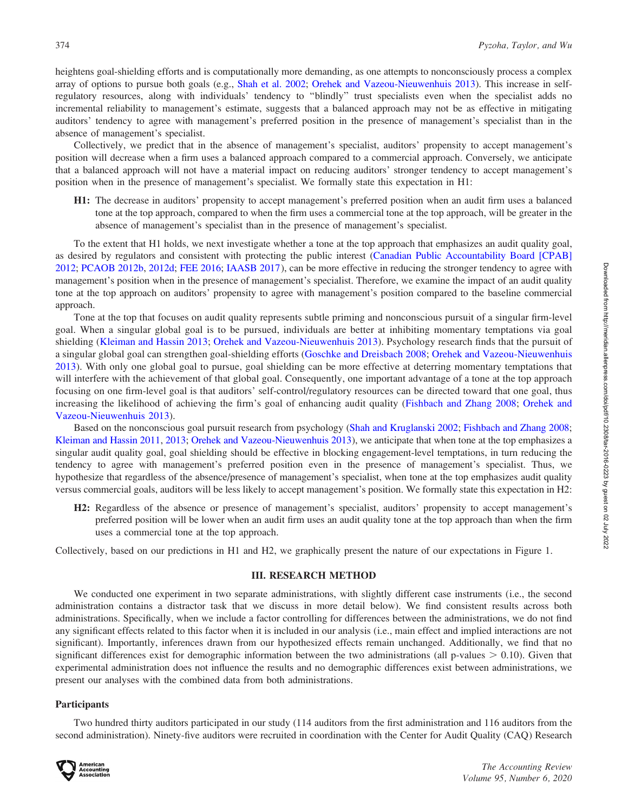heightens goal-shielding efforts and is computationally more demanding, as one attempts to nonconsciously process a complex array of options to pursue both goals (e.g., [Shah et al. 2002](#page-25-0); [Orehek and Vazeou-Nieuwenhuis 2013\)](#page-24-0). This increase in selfregulatory resources, along with individuals' tendency to ''blindly'' trust specialists even when the specialist adds no incremental reliability to management's estimate, suggests that a balanced approach may not be as effective in mitigating auditors' tendency to agree with management's preferred position in the presence of management's specialist than in the absence of management's specialist.

Collectively, we predict that in the absence of management's specialist, auditors' propensity to accept management's position will decrease when a firm uses a balanced approach compared to a commercial approach. Conversely, we anticipate that a balanced approach will not have a material impact on reducing auditors' stronger tendency to accept management's position when in the presence of management's specialist. We formally state this expectation in H1:

H1: The decrease in auditors' propensity to accept management's preferred position when an audit firm uses a balanced tone at the top approach, compared to when the firm uses a commercial tone at the top approach, will be greater in the absence of management's specialist than in the presence of management's specialist.

To the extent that H1 holds, we next investigate whether a tone at the top approach that emphasizes an audit quality goal, as desired by regulators and consistent with protecting the public interest [\(Canadian Public Accountability Board \[CPAB\]](#page-22-0) [2012;](#page-22-0) [PCAOB 2012b](#page-24-0), [2012d](#page-24-0); [FEE 2016;](#page-22-0) [IAASB 2017](#page-23-0)), can be more effective in reducing the stronger tendency to agree with management's position when in the presence of management's specialist. Therefore, we examine the impact of an audit quality tone at the top approach on auditors' propensity to agree with management's position compared to the baseline commercial approach.

Tone at the top that focuses on audit quality represents subtle priming and nonconscious pursuit of a singular firm-level goal. When a singular global goal is to be pursued, individuals are better at inhibiting momentary temptations via goal shielding [\(Kleiman and Hassin 2013;](#page-24-0) [Orehek and Vazeou-Nieuwenhuis 2013\)](#page-24-0). Psychology research finds that the pursuit of a singular global goal can strengthen goal-shielding efforts [\(Goschke and Dreisbach 2008](#page-23-0); [Orehek and Vazeou-Nieuwenhuis](#page-24-0) [2013](#page-24-0)). With only one global goal to pursue, goal shielding can be more effective at deterring momentary temptations that will interfere with the achievement of that global goal. Consequently, one important advantage of a tone at the top approach focusing on one firm-level goal is that auditors' self-control/regulatory resources can be directed toward that one goal, thus increasing the likelihood of achieving the firm's goal of enhancing audit quality [\(Fishbach and Zhang 2008;](#page-22-0) [Orehek and](#page-24-0) [Vazeou-Nieuwenhuis 2013](#page-24-0)).

Based on the nonconscious goal pursuit research from psychology ([Shah and Kruglanski 2002;](#page-25-0) [Fishbach and Zhang 2008](#page-22-0); [Kleiman and Hassin 2011,](#page-24-0) [2013](#page-24-0); [Orehek and Vazeou-Nieuwenhuis 2013](#page-24-0)), we anticipate that when tone at the top emphasizes a singular audit quality goal, goal shielding should be effective in blocking engagement-level temptations, in turn reducing the tendency to agree with management's preferred position even in the presence of management's specialist. Thus, we hypothesize that regardless of the absence/presence of management's specialist, when tone at the top emphasizes audit quality versus commercial goals, auditors will be less likely to accept management's position. We formally state this expectation in H2:

H2: Regardless of the absence or presence of management's specialist, auditors' propensity to accept management's preferred position will be lower when an audit firm uses an audit quality tone at the top approach than when the firm uses a commercial tone at the top approach.

Collectively, based on our predictions in H1 and H2, we graphically present the nature of our expectations in Figure 1.

### III. RESEARCH METHOD

We conducted one experiment in two separate administrations, with slightly different case instruments (i.e., the second administration contains a distractor task that we discuss in more detail below). We find consistent results across both administrations. Specifically, when we include a factor controlling for differences between the administrations, we do not find any significant effects related to this factor when it is included in our analysis (i.e., main effect and implied interactions are not significant). Importantly, inferences drawn from our hypothesized effects remain unchanged. Additionally, we find that no significant differences exist for demographic information between the two administrations (all p-values  $> 0.10$ ). Given that experimental administration does not influence the results and no demographic differences exist between administrations, we present our analyses with the combined data from both administrations.

# **Participants**

Two hundred thirty auditors participated in our study (114 auditors from the first administration and 116 auditors from the second administration). Ninety-five auditors were recruited in coordination with the Center for Audit Quality (CAQ) Research

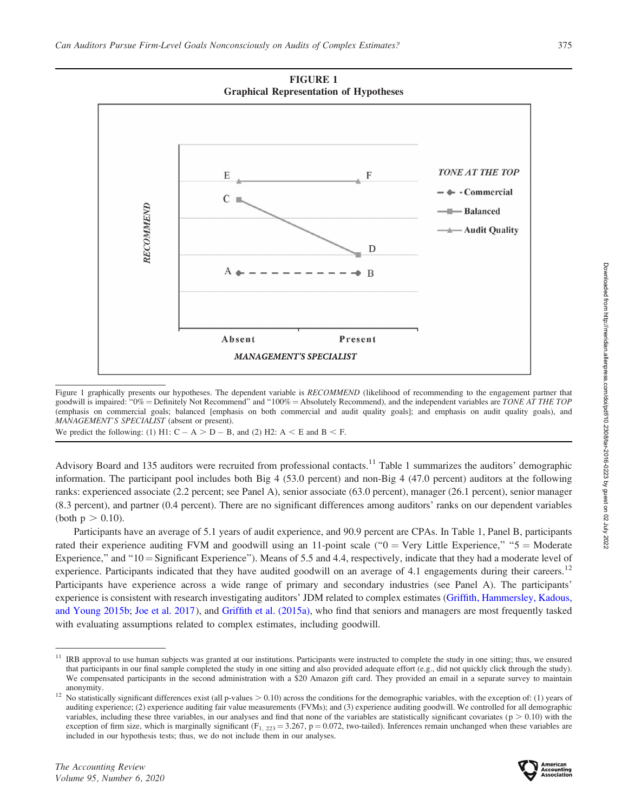

FIGURE 1

Figure 1 graphically presents our hypotheses. The dependent variable is RECOMMEND (likelihood of recommending to the engagement partner that goodwill is impaired: "0% = Definitely Not Recommend" and "100% = Absolutely Recommend), and the independent variables are TONE AT THE TOP (emphasis on commercial goals; balanced [emphasis on both commercial and audit quality goals]; and emphasis on audit quality goals), and MANAGEMENT'S SPECIALIST (absent or present).

We predict the following: (1) H1:  $C - A > D - B$ , and (2) H2:  $A \leq E$  and  $B \leq F$ .

Advisory Board and 135 auditors were recruited from professional contacts.<sup>11</sup> Table 1 summarizes the auditors' demographic information. The participant pool includes both Big 4 (53.0 percent) and non-Big 4 (47.0 percent) auditors at the following ranks: experienced associate (2.2 percent; see Panel A), senior associate (63.0 percent), manager (26.1 percent), senior manager (8.3 percent), and partner (0.4 percent). There are no significant differences among auditors' ranks on our dependent variables (both  $p > 0.10$ ).

Participants have an average of 5.1 years of audit experience, and 90.9 percent are CPAs. In Table 1, Panel B, participants rated their experience auditing FVM and goodwill using an 11-point scale (" $0 =$  Very Little Experience," " $5 =$  Moderate Experience," and " $10 =$ Significant Experience"). Means of 5.5 and 4.4, respectively, indicate that they had a moderate level of experience. Participants indicated that they have audited goodwill on an average of 4.1 engagements during their careers.<sup>12</sup> Participants have experience across a wide range of primary and secondary industries (see Panel A). The participants' experience is consistent with research investigating auditors' JDM related to complex estimates ([Griffith, Hammersley, Kadous,](#page-23-0) [and Young 2015b](#page-23-0); [Joe et al. 2017](#page-23-0)), and [Griffith et al. \(2015a\)](#page-23-0), who find that seniors and managers are most frequently tasked with evaluating assumptions related to complex estimates, including goodwill.



<sup>&</sup>lt;sup>11</sup> IRB approval to use human subjects was granted at our institutions. Participants were instructed to complete the study in one sitting; thus, we ensured that participants in our final sample completed the study in one sitting and also provided adequate effort (e.g., did not quickly click through the study). We compensated participants in the second administration with a \$20 Amazon gift card. They provided an email in a separate survey to maintain

anonymity.<br><sup>12</sup> No statistically significant differences exist (all p-values  $> 0.10$ ) across the conditions for the demographic variables, with the exception of: (1) years of auditing experience; (2) experience auditing fair value measurements (FVMs); and (3) experience auditing goodwill. We controlled for all demographic variables, including these three variables, in our analyses and find that none of the variables are statistically significant covariates ( $p > 0.10$ ) with the exception of firm size, which is marginally significant ( $F_{1, 223} = 3.267$ , p = 0.072, two-tailed). Inferences remain unchanged when these variables are included in our hypothesis tests; thus, we do not include them in our analyses.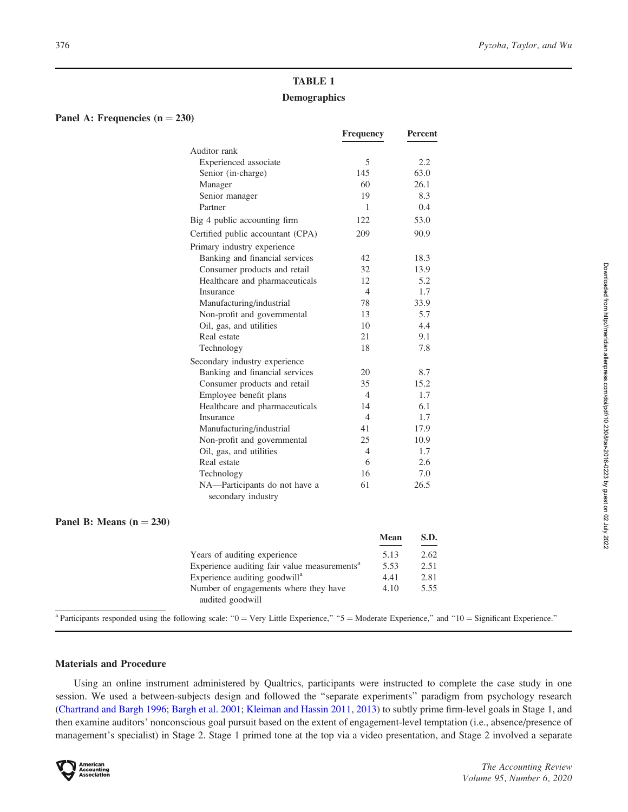# TABLE 1 **Demographics**

# Panel A: Frequencies  $(n = 230)$

|                                                     | <b>Frequency</b>         | <b>Percent</b> |
|-----------------------------------------------------|--------------------------|----------------|
| Auditor rank                                        |                          |                |
| Experienced associate                               | 5                        | 2.2            |
| Senior (in-charge)                                  | 145                      | 63.0           |
| Manager                                             | 60                       | 26.1           |
| Senior manager                                      | 19                       | 8.3            |
| Partner                                             | 1                        | 0.4            |
| Big 4 public accounting firm                        | 122.                     | 53.0           |
| Certified public accountant (CPA)                   | 209                      | 90.9           |
| Primary industry experience                         |                          |                |
| Banking and financial services                      | 42                       | 18.3           |
| Consumer products and retail                        | 32                       | 13.9           |
| Healthcare and pharmaceuticals                      | 12                       | 5.2            |
| Insurance                                           | $\overline{\mathcal{A}}$ | 1.7            |
| Manufacturing/industrial                            | 78                       | 33.9           |
| Non-profit and governmental                         | 13                       | 5.7            |
| Oil, gas, and utilities                             | 10                       | 4.4            |
| Real estate                                         | 21                       | 9.1            |
| Technology                                          | 18                       | 7.8            |
| Secondary industry experience                       |                          |                |
| Banking and financial services                      | 20                       | 8.7            |
| Consumer products and retail                        | 35                       | 15.2           |
| Employee benefit plans                              | 4                        | 1.7            |
| Healthcare and pharmaceuticals                      | 14                       | 6.1            |
| Insurance                                           | 4                        | 1.7            |
| Manufacturing/industrial                            | 41                       | 17.9           |
| Non-profit and governmental                         | 25                       | 10.9           |
| Oil, gas, and utilities                             | $\overline{4}$           | 1.7            |
| Real estate                                         | 6                        | 2.6            |
| Technology                                          | 16                       | 7.0            |
| NA-Participants do not have a<br>secondary industry | 61                       | 26.5           |

# Panel B: Means  $(n = 230)$

|                                                          | Mean | S.D. |
|----------------------------------------------------------|------|------|
| Years of auditing experience                             | 5.13 | 2.62 |
| Experience auditing fair value measurements <sup>a</sup> | 5.53 | 2.51 |
| Experience auditing goodwill <sup>a</sup>                | 4.41 | 2.81 |
| Number of engagements where they have                    | 4.10 | 5.55 |
| audited goodwill                                         |      |      |

<sup>a</sup> Participants responded using the following scale: " $0 = \text{Very Little Experience},$ " " $5 = \text{Modern}$  Experience," and " $10 = \text{Significant Experience}$ ."

### Materials and Procedure

Using an online instrument administered by Qualtrics, participants were instructed to complete the case study in one session. We used a between-subjects design and followed the ''separate experiments'' paradigm from psychology research [\(Chartrand and Bargh 1996](#page-22-0); [Bargh et al. 2001](#page-21-0); [Kleiman and Hassin 2011,](#page-24-0) [2013](#page-24-0)) to subtly prime firm-level goals in Stage 1, and then examine auditors' nonconscious goal pursuit based on the extent of engagement-level temptation (i.e., absence/presence of management's specialist) in Stage 2. Stage 1 primed tone at the top via a video presentation, and Stage 2 involved a separate

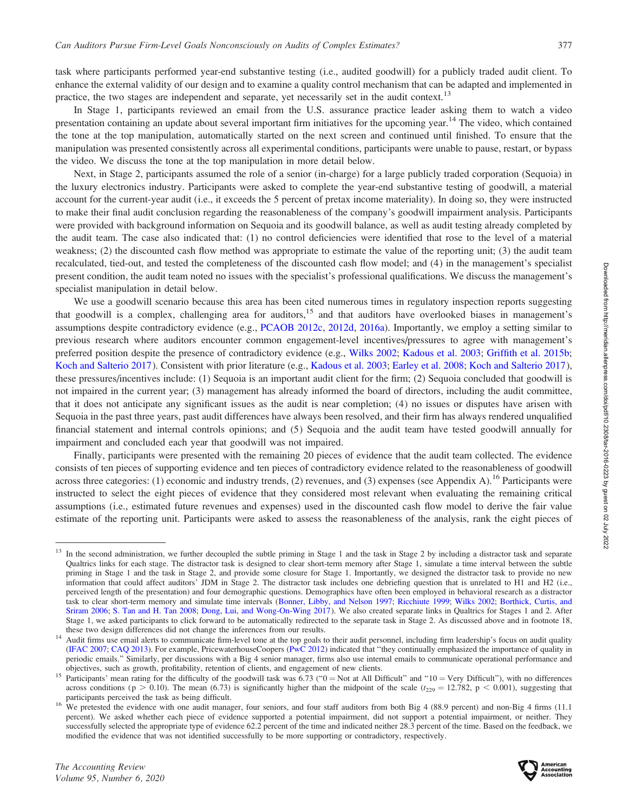task where participants performed year-end substantive testing (i.e., audited goodwill) for a publicly traded audit client. To enhance the external validity of our design and to examine a quality control mechanism that can be adapted and implemented in practice, the two stages are independent and separate, yet necessarily set in the audit context.<sup>13</sup>

In Stage 1, participants reviewed an email from the U.S. assurance practice leader asking them to watch a video presentation containing an update about several important firm initiatives for the upcoming year.<sup>14</sup> The video, which contained the tone at the top manipulation, automatically started on the next screen and continued until finished. To ensure that the manipulation was presented consistently across all experimental conditions, participants were unable to pause, restart, or bypass the video. We discuss the tone at the top manipulation in more detail below.

Next, in Stage 2, participants assumed the role of a senior (in-charge) for a large publicly traded corporation (Sequoia) in the luxury electronics industry. Participants were asked to complete the year-end substantive testing of goodwill, a material account for the current-year audit (i.e., it exceeds the 5 percent of pretax income materiality). In doing so, they were instructed to make their final audit conclusion regarding the reasonableness of the company's goodwill impairment analysis. Participants were provided with background information on Sequoia and its goodwill balance, as well as audit testing already completed by the audit team. The case also indicated that: (1) no control deficiencies were identified that rose to the level of a material weakness; (2) the discounted cash flow method was appropriate to estimate the value of the reporting unit; (3) the audit team recalculated, tied-out, and tested the completeness of the discounted cash flow model; and (4) in the management's specialist present condition, the audit team noted no issues with the specialist's professional qualifications. We discuss the management's specialist manipulation in detail below.

We use a goodwill scenario because this area has been cited numerous times in regulatory inspection reports suggesting that goodwill is a complex, challenging area for auditors,<sup>15</sup> and that auditors have overlooked biases in management's assumptions despite contradictory evidence (e.g., [PCAOB 2012c,](#page-24-0) [2012d](#page-24-0), [2016a\)](#page-25-0). Importantly, we employ a setting similar to previous research where auditors encounter common engagement-level incentives/pressures to agree with management's preferred position despite the presence of contradictory evidence (e.g., [Wilks 2002](#page-25-0); [Kadous et al. 2003](#page-23-0); [Griffith et al. 2015b](#page-23-0); [Koch and Salterio 2017](#page-24-0)). Consistent with prior literature (e.g., [Kadous et al. 2003;](#page-23-0) [Earley et al. 2008;](#page-22-0) [Koch and Salterio 2017](#page-24-0)), these pressures/incentives include: (1) Sequoia is an important audit client for the firm; (2) Sequoia concluded that goodwill is not impaired in the current year; (3) management has already informed the board of directors, including the audit committee, that it does not anticipate any significant issues as the audit is near completion; (4) no issues or disputes have arisen with Sequoia in the past three years, past audit differences have always been resolved, and their firm has always rendered unqualified financial statement and internal controls opinions; and (5) Sequoia and the audit team have tested goodwill annually for impairment and concluded each year that goodwill was not impaired.

Finally, participants were presented with the remaining 20 pieces of evidence that the audit team collected. The evidence consists of ten pieces of supporting evidence and ten pieces of contradictory evidence related to the reasonableness of goodwill across three categories: (1) economic and industry trends, (2) revenues, and (3) expenses (see Appendix A).<sup>16</sup> Participants were instructed to select the eight pieces of evidence that they considered most relevant when evaluating the remaining critical assumptions (i.e., estimated future revenues and expenses) used in the discounted cash flow model to derive the fair value estimate of the reporting unit. Participants were asked to assess the reasonableness of the analysis, rank the eight pieces of



<sup>&</sup>lt;sup>13</sup> In the second administration, we further decoupled the subtle priming in Stage 1 and the task in Stage 2 by including a distractor task and separate Qualtrics links for each stage. The distractor task is designed to clear short-term memory after Stage 1, simulate a time interval between the subtle priming in Stage 1 and the task in Stage 2, and provide some closure for Stage 1. Importantly, we designed the distractor task to provide no new information that could affect auditors' JDM in Stage 2. The distractor task includes one debriefing question that is unrelated to H1 and H2 (i.e., perceived length of the presentation) and four demographic questions. Demographics have often been employed in behavioral research as a distractor task to clear short-term memory and simulate time intervals [\(Bonner, Libby, and Nelson 1997;](#page-22-0) [Ricchiute 1999](#page-25-0); [Wilks 2002;](#page-25-0) [Borthick, Curtis, and](#page-22-0) [Sriram 2006](#page-22-0); [S. Tan and H. Tan 2008;](#page-25-0) [Dong, Lui, and Wong-On-Wing 2017](#page-22-0)). We also created separate links in Qualtrics for Stages 1 and 2. After Stage 1, we asked participants to click forward to be automatically redirected to the separate task in Stage 2. As discussed above and in footnote 18, these two design differences did not change the inferences from our results.<br>Audit firms use email alerts to communicate firm-level tone at the top goals to their audit personnel, including firm leadership's focus on audit

<sup>(</sup>[IFAC 2007](#page-23-0); [CAQ 2013](#page-22-0)). For example, PricewaterhouseCoopers [\(PwC 2012\)](#page-24-0) indicated that ''they continually emphasized the importance of quality in periodic emails.'' Similarly, per discussions with a Big 4 senior manager, firms also use internal emails to communicate operational performance and

objectives, such as growth, profitability, retention of clients, and engagement of new clients.<br><sup>15</sup> Participants' mean rating for the difficulty of the goodwill task was 6.73 (" $0 = Not$  at All Difficult" and "10 = Very Diff across conditions (p > 0.10). The mean (6.73) is significantly higher than the midpoint of the scale ( $t_{229} = 12.782$ , p < 0.001), suggesting that participants perceived the task as being difficult.

<sup>&</sup>lt;sup>16</sup> We pretested the evidence with one audit manager, four seniors, and four staff auditors from both Big 4 (88.9 percent) and non-Big 4 firms (11.1) percent). We asked whether each piece of evidence supported a potential impairment, did not support a potential impairment, or neither. They successfully selected the appropriate type of evidence 62.2 percent of the time and indicated neither 28.3 percent of the time. Based on the feedback, we modified the evidence that was not identified successfully to be more supporting or contradictory, respectively.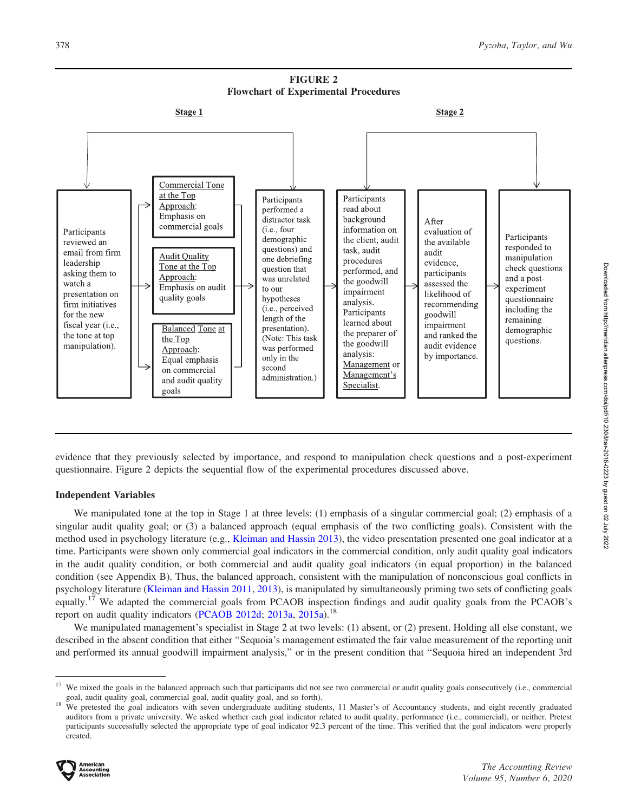FIGURE 2 Flowchart of Experimental Procedures



evidence that they previously selected by importance, and respond to manipulation check questions and a post-experiment questionnaire. Figure 2 depicts the sequential flow of the experimental procedures discussed above.

### Independent Variables

We manipulated tone at the top in Stage 1 at three levels: (1) emphasis of a singular commercial goal; (2) emphasis of a singular audit quality goal; or (3) a balanced approach (equal emphasis of the two conflicting goals). Consistent with the method used in psychology literature (e.g., [Kleiman and Hassin 2013](#page-24-0)), the video presentation presented one goal indicator at a time. Participants were shown only commercial goal indicators in the commercial condition, only audit quality goal indicators in the audit quality condition, or both commercial and audit quality goal indicators (in equal proportion) in the balanced condition (see Appendix B). Thus, the balanced approach, consistent with the manipulation of nonconscious goal conflicts in psychology literature [\(Kleiman and Hassin 2011,](#page-24-0) [2013\)](#page-24-0), is manipulated by simultaneously priming two sets of conflicting goals equally.<sup>17</sup> We adapted the commercial goals from PCAOB inspection findings and audit quality goals from the PCAOB's report on audit quality indicators [\(PCAOB 2012d](#page-24-0); [2013a](#page-24-0), [2015a\)](#page-24-0).<sup>18</sup>

We manipulated management's specialist in Stage 2 at two levels: (1) absent, or (2) present. Holding all else constant, we described in the absent condition that either ''Sequoia's management estimated the fair value measurement of the reporting unit and performed its annual goodwill impairment analysis,'' or in the present condition that ''Sequoia hired an independent 3rd

goal, audit quality goal, commercial goal, audit quality goal, and so forth).<br><sup>18</sup> We pretested the goal indicators with seven undergraduate auditing students, 11 Master's of Accountancy students, and eight recently gradua auditors from a private university. We asked whether each goal indicator related to audit quality, performance (i.e., commercial), or neither. Pretest participants successfully selected the appropriate type of goal indicator 92.3 percent of the time. This verified that the goal indicators were properly created.



<sup>&</sup>lt;sup>17</sup> We mixed the goals in the balanced approach such that participants did not see two commercial or audit quality goals consecutively (i.e., commercial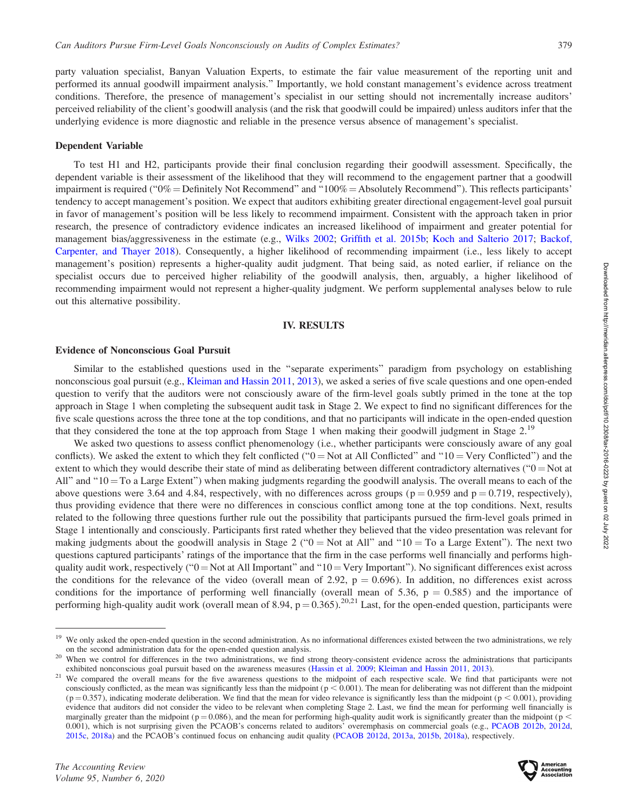party valuation specialist, Banyan Valuation Experts, to estimate the fair value measurement of the reporting unit and performed its annual goodwill impairment analysis.'' Importantly, we hold constant management's evidence across treatment conditions. Therefore, the presence of management's specialist in our setting should not incrementally increase auditors' perceived reliability of the client's goodwill analysis (and the risk that goodwill could be impaired) unless auditors infer that the underlying evidence is more diagnostic and reliable in the presence versus absence of management's specialist.

### Dependent Variable

To test H1 and H2, participants provide their final conclusion regarding their goodwill assessment. Specifically, the dependent variable is their assessment of the likelihood that they will recommend to the engagement partner that a goodwill impairment is required (" $0\%$  = Definitely Not Recommend" and " $100\%$  = Absolutely Recommend"). This reflects participants' tendency to accept management's position. We expect that auditors exhibiting greater directional engagement-level goal pursuit in favor of management's position will be less likely to recommend impairment. Consistent with the approach taken in prior research, the presence of contradictory evidence indicates an increased likelihood of impairment and greater potential for management bias/aggressiveness in the estimate (e.g., [Wilks 2002;](#page-25-0) [Griffith et al. 2015b](#page-23-0); [Koch and Salterio 2017](#page-24-0); [Backof,](#page-21-0) [Carpenter, and Thayer 2018\)](#page-21-0). Consequently, a higher likelihood of recommending impairment (i.e., less likely to accept management's position) represents a higher-quality audit judgment. That being said, as noted earlier, if reliance on the specialist occurs due to perceived higher reliability of the goodwill analysis, then, arguably, a higher likelihood of recommending impairment would not represent a higher-quality judgment. We perform supplemental analyses below to rule out this alternative possibility.

### IV. RESULTS

### Evidence of Nonconscious Goal Pursuit

Similar to the established questions used in the ''separate experiments'' paradigm from psychology on establishing nonconscious goal pursuit (e.g., [Kleiman and Hassin 2011,](#page-24-0) [2013\)](#page-24-0), we asked a series of five scale questions and one open-ended question to verify that the auditors were not consciously aware of the firm-level goals subtly primed in the tone at the top approach in Stage 1 when completing the subsequent audit task in Stage 2. We expect to find no significant differences for the five scale questions across the three tone at the top conditions, and that no participants will indicate in the open-ended question that they considered the tone at the top approach from Stage 1 when making their goodwill judgment in Stage 2.<sup>19</sup>

We asked two questions to assess conflict phenomenology (i.e., whether participants were consciously aware of any goal conflicts). We asked the extent to which they felt conflicted (" $0 = Not$  at All Conflicted" and " $10 = Very$  Conflicted") and the extent to which they would describe their state of mind as deliberating between different contradictory alternatives ( $0 = Not$  at All" and " $10 = To$  a Large Extent") when making judgments regarding the goodwill analysis. The overall means to each of the above questions were 3.64 and 4.84, respectively, with no differences across groups ( $p = 0.959$  and  $p = 0.719$ , respectively), thus providing evidence that there were no differences in conscious conflict among tone at the top conditions. Next, results related to the following three questions further rule out the possibility that participants pursued the firm-level goals primed in Stage 1 intentionally and consciously. Participants first rated whether they believed that the video presentation was relevant for making judgments about the goodwill analysis in Stage 2 (" $0 = Not$  at All" and " $10 = To$  a Large Extent"). The next two questions captured participants' ratings of the importance that the firm in the case performs well financially and performs highquality audit work, respectively (" $0 = Not$  at All Important" and " $10 = Very$  Important"). No significant differences exist across the conditions for the relevance of the video (overall mean of 2.92,  $p = 0.696$ ). In addition, no differences exist across conditions for the importance of performing well financially (overall mean of 5.36,  $p = 0.585$ ) and the importance of performing high-quality audit work (overall mean of 8.94,  $p = 0.365$ ).<sup>20,21</sup> Last, for the open-ended question, participants were





<sup>&</sup>lt;sup>19</sup> We only asked the open-ended question in the second administration. As no informational differences existed between the two administrations, we rely on the second administration data for the open-ended question analysis.<br><sup>20</sup> When we control for differences in the two administrations, we find strong theory-consistent evidence across the administrations that participant

exhibited nonconscious goal pursuit based on the awareness measures [\(Hassin et al. 2009](#page-23-0); [Kleiman and Hassin 2011,](#page-24-0) [2013](#page-24-0)).<br><sup>21</sup> We compared the overall means for the five awareness questions to the midpoint of each respectiv consciously conflicted, as the mean was significantly less than the midpoint ( $p < 0.001$ ). The mean for deliberating was not different than the midpoint  $(p = 0.357)$ , indicating moderate deliberation. We find that the mean for video relevance is significantly less than the midpoint  $(p < 0.001)$ , providing evidence that auditors did not consider the video to be relevant when completing Stage 2. Last, we find the mean for performing well financially is marginally greater than the midpoint ( $p = 0.086$ ), and the mean for performing high-quality audit work is significantly greater than the midpoint ( $p$  < 0.001), which is not surprising given the PCAOB's concerns related to auditors' overemphasis on commercial goals (e.g., [PCAOB 2012b](#page-24-0), [2012d,](#page-24-0) [2015c](#page-25-0), [2018a](#page-25-0)) and the PCAOB's continued focus on enhancing audit quality [\(PCAOB 2012d](#page-24-0), [2013a,](#page-24-0) [2015b](#page-25-0), [2018a](#page-25-0)), respectively.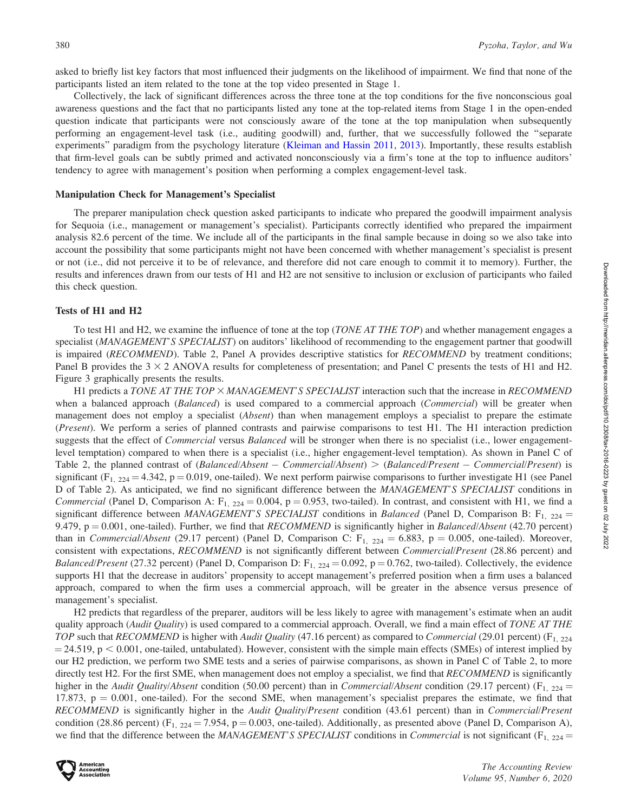asked to briefly list key factors that most influenced their judgments on the likelihood of impairment. We find that none of the participants listed an item related to the tone at the top video presented in Stage 1.

Collectively, the lack of significant differences across the three tone at the top conditions for the five nonconscious goal awareness questions and the fact that no participants listed any tone at the top-related items from Stage 1 in the open-ended question indicate that participants were not consciously aware of the tone at the top manipulation when subsequently performing an engagement-level task (i.e., auditing goodwill) and, further, that we successfully followed the ''separate experiments'' paradigm from the psychology literature [\(Kleiman and Hassin 2011](#page-24-0), [2013](#page-24-0)). Importantly, these results establish that firm-level goals can be subtly primed and activated nonconsciously via a firm's tone at the top to influence auditors' tendency to agree with management's position when performing a complex engagement-level task.

#### Manipulation Check for Management's Specialist

The preparer manipulation check question asked participants to indicate who prepared the goodwill impairment analysis for Sequoia (i.e., management or management's specialist). Participants correctly identified who prepared the impairment analysis 82.6 percent of the time. We include all of the participants in the final sample because in doing so we also take into account the possibility that some participants might not have been concerned with whether management's specialist is present or not (i.e., did not perceive it to be of relevance, and therefore did not care enough to commit it to memory). Further, the results and inferences drawn from our tests of H1 and H2 are not sensitive to inclusion or exclusion of participants who failed this check question.

### Tests of H1 and H2

To test H1 and H2, we examine the influence of tone at the top (*TONE AT THE TOP*) and whether management engages a specialist (MANAGEMENT'S SPECIALIST) on auditors' likelihood of recommending to the engagement partner that goodwill is impaired (RECOMMEND). Table 2, Panel A provides descriptive statistics for RECOMMEND by treatment conditions; Panel B provides the  $3 \times 2$  ANOVA results for completeness of presentation; and Panel C presents the tests of H1 and H2. Figure 3 graphically presents the results.

H1 predicts a TONE AT THE TOP  $\times$  MANAGEMENT'S SPECIALIST interaction such that the increase in RECOMMEND when a balanced approach (*Balanced*) is used compared to a commercial approach (*Commercial*) will be greater when management does not employ a specialist (*Absent*) than when management employs a specialist to prepare the estimate (Present). We perform a series of planned contrasts and pairwise comparisons to test H1. The H1 interaction prediction suggests that the effect of *Commercial* versus *Balanced* will be stronger when there is no specialist (i.e., lower engagementlevel temptation) compared to when there is a specialist (i.e., higher engagement-level temptation). As shown in Panel C of Table 2, the planned contrast of  $(Balanced/Absent - Commercial/Absent) > (Balanced/Present - Commercial/Present)$  is significant  $(F_{1, 224} = 4.342, p = 0.019,$  one-tailed). We next perform pairwise comparisons to further investigate H1 (see Panel D of Table 2). As anticipated, we find no significant difference between the MANAGEMENT'S SPECIALIST conditions in Commercial (Panel D, Comparison A:  $F_{1, 224} = 0.004$ , p = 0.953, two-tailed). In contrast, and consistent with H1, we find a significant difference between MANAGEMENT'S SPECIALIST conditions in Balanced (Panel D, Comparison B:  $F_{1, 224} =$ 9.479,  $p = 0.001$ , one-tailed). Further, we find that RECOMMEND is significantly higher in Balanced/Absent (42.70 percent) than in *Commercial/Absent* (29.17 percent) (Panel D, Comparison C:  $F_{1, 224} = 6.883$ , p = 0.005, one-tailed). Moreover, consistent with expectations, RECOMMEND is not significantly different between Commercial/Present (28.86 percent) and *Balanced/Present* (27.32 percent) (Panel D, Comparison D:  $F_{1, 224} = 0.092$ , p = 0.762, two-tailed). Collectively, the evidence supports H1 that the decrease in auditors' propensity to accept management's preferred position when a firm uses a balanced approach, compared to when the firm uses a commercial approach, will be greater in the absence versus presence of management's specialist.

H2 predicts that regardless of the preparer, auditors will be less likely to agree with management's estimate when an audit quality approach (Audit Quality) is used compared to a commercial approach. Overall, we find a main effect of TONE AT THE TOP such that RECOMMEND is higher with Audit Quality (47.16 percent) as compared to Commercial (29.01 percent) ( $F_{1, 224}$  $=$  24.519, p  $<$  0.001, one-tailed, untabulated). However, consistent with the simple main effects (SMEs) of interest implied by our H2 prediction, we perform two SME tests and a series of pairwise comparisons, as shown in Panel C of Table 2, to more directly test H2. For the first SME, when management does not employ a specialist, we find that RECOMMEND is significantly higher in the Audit Quality/Absent condition (50.00 percent) than in Commercial/Absent condition (29.17 percent) ( $F_{1, 224}$  =  $17.873$ ,  $p = 0.001$ , one-tailed). For the second SME, when management's specialist prepares the estimate, we find that RECOMMEND is significantly higher in the Audit Quality/Present condition (43.61 percent) than in Commercial/Present condition (28.86 percent) (F<sub>1, 224</sub> = 7.954, p = 0.003, one-tailed). Additionally, as presented above (Panel D, Comparison A), we find that the difference between the MANAGEMENT'S SPECIALIST conditions in Commercial is not significant ( $F_{1, 224}$  =

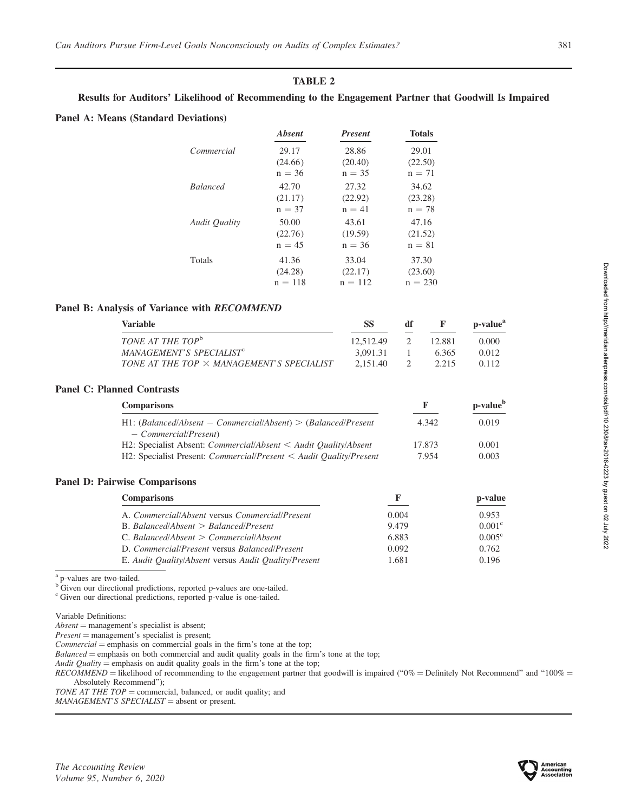# TABLE 2

# Results for Auditors' Likelihood of Recommending to the Engagement Partner that Goodwill Is Impaired

### Panel A: Means (Standard Deviations)

|                      | <b>Absent</b> | <b>Present</b> | <b>Totals</b> |
|----------------------|---------------|----------------|---------------|
| Commercial           | 29.17         | 28.86          | 29.01         |
|                      | (24.66)       | (20.40)        | (22.50)       |
|                      | $n = 36$      | $n = 35$       | $n = 71$      |
| <b>Balanced</b>      | 42.70         | 27.32          | 34.62         |
|                      | (21.17)       | (22.92)        | (23.28)       |
|                      | $n = 37$      | $n = 41$       | $n = 78$      |
| <b>Audit Quality</b> | 50.00         | 43.61          | 47.16         |
|                      | (22.76)       | (19.59)        | (21.52)       |
|                      | $n = 45$      | $n = 36$       | $n = 81$      |
| <b>Totals</b>        | 41.36         | 33.04          | 37.30         |
|                      | (24.28)       | (22.17)        | (23.60)       |
|                      | $n = 118$     | $n = 112$      | $n = 230$     |

### Panel B: Analysis of Variance with RECOMMEND

| <b>Variable</b>                                  | SS        | df |        | p-value <sup>a</sup> |
|--------------------------------------------------|-----------|----|--------|----------------------|
| TONE AT THE TOP <sup>b</sup>                     | 12.512.49 |    | 12.881 | 0.000                |
| MANAGEMENT'S SPECIALIST <sup>c</sup>             | 3.091.31  |    | 6.365  | 0.012                |
| TONE AT THE TOP $\times$ MANAGEMENT'S SPECIALIST | 2.151.40  |    | 2.215  | 0.112                |

# Panel C: Planned Contrasts

| <b>Comparisons</b>                                                                          |        | p-value <sup>b</sup> |  |
|---------------------------------------------------------------------------------------------|--------|----------------------|--|
| $H1: (Balanced/Absent - Commercial/Absent) > (Balanced/Present)$<br>$-$ Commercial/Present) | 4.342  | 0.019                |  |
| H2: Specialist Absent: <i>Commercial/Absent</i> $\lt$ <i>Audit Quality/Absent</i>           | 17.873 | 0.001                |  |
| H2: Specialist Present: <i>Commercial/Present</i> $\lt$ <i>Audit Quality/Present</i>        | 7.954  | 0.003                |  |

### Panel D: Pairwise Comparisons

| <b>Comparisons</b>                                   |       | p-value         |
|------------------------------------------------------|-------|-----------------|
| A. Commercial/Absent versus Commercial/Present       | 0.004 | 0.953           |
| $B.$ Balanced/Absent $>$ Balanced/Present            | 9.479 | $0.001^{\circ}$ |
| $C.$ Balanced/Absent $\geq$ Commercial/Absent        | 6.883 | $0.005^{\circ}$ |
| D. Commercial/Present versus Balanced/Present        | 0.092 | 0.762           |
| E. Audit Quality/Absent versus Audit Quality/Present | 1.681 | 0.196           |

<sup>a</sup> p-values are two-tailed.

<sup>b</sup> Given our directional predictions, reported p-values are one-tailed.

<sup>c</sup> Given our directional predictions, reported p-value is one-tailed.

Variable Definitions:

 $Absent = management's specialist is absent;$ 

 $Present = management's specialist is present;$ 

 $Commercial$  = emphasis on commercial goals in the firm's tone at the top;

 $Balanced$  = emphasis on both commercial and audit quality goals in the firm's tone at the top;

Audit Quality = emphasis on audit quality goals in the firm's tone at the top;

 $RECOMMEND = likelihood$  of recommending to the engagement partner that goodwill is impaired ("0% = Definitely Not Recommend" and "100% = Absolutely Recommend'');

TONE AT THE TOP = commercial, balanced, or audit quality; and

 $MANAGEMENT'S SPECIALIST = absent or present.$ 

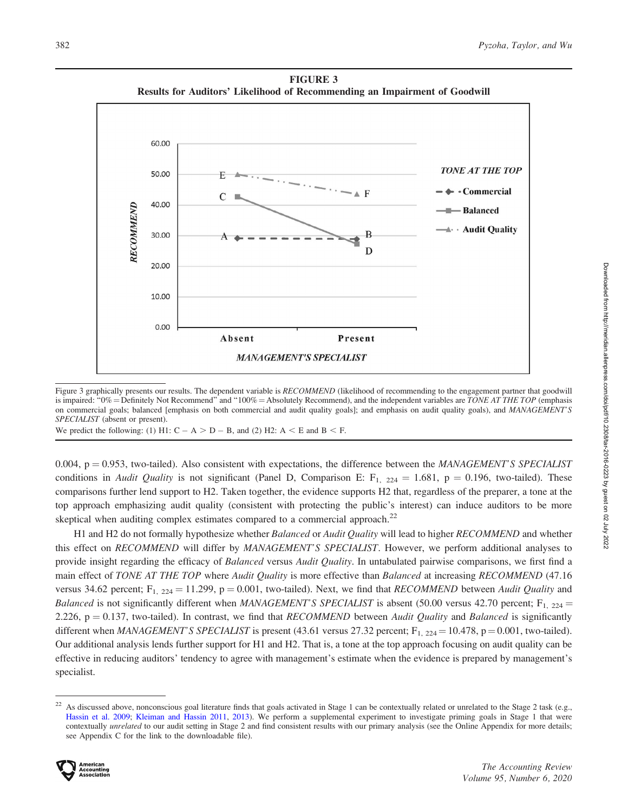FIGURE 3 Results for Auditors' Likelihood of Recommending an Impairment of Goodwill



Figure 3 graphically presents our results. The dependent variable is RECOMMEND (likelihood of recommending to the engagement partner that goodwill is impaired: " $0\%$  = Definitely Not Recommend" and "100% = Absolutely Recommend), and the independent variables are TONE AT THE TOP (emphasis on commercial goals; balanced [emphasis on both commercial and audit quality goals]; and emphasis on audit quality goals), and MANAGEMENT'S SPECIALIST (absent or present).

We predict the following: (1) H1:  $C - A > D - B$ , and (2) H2:  $A < E$  and  $B < F$ .

0.004,  $p = 0.953$ , two-tailed). Also consistent with expectations, the difference between the MANAGEMENT'S SPECIALIST conditions in Audit Quality is not significant (Panel D, Comparison E:  $F_{1, 224} = 1.681$ , p = 0.196, two-tailed). These comparisons further lend support to H2. Taken together, the evidence supports H2 that, regardless of the preparer, a tone at the top approach emphasizing audit quality (consistent with protecting the public's interest) can induce auditors to be more skeptical when auditing complex estimates compared to a commercial approach.<sup>22</sup>

H1 and H2 do not formally hypothesize whether Balanced or Audit Quality will lead to higher RECOMMEND and whether this effect on RECOMMEND will differ by MANAGEMENT'S SPECIALIST. However, we perform additional analyses to provide insight regarding the efficacy of *Balanced* versus *Audit Quality*. In untabulated pairwise comparisons, we first find a main effect of TONE AT THE TOP where Audit Quality is more effective than Balanced at increasing RECOMMEND (47.16 versus 34.62 percent;  $F_{1, 224} = 11.299$ , p = 0.001, two-tailed). Next, we find that RECOMMEND between Audit Quality and *Balanced* is not significantly different when MANAGEMENT'S SPECIALIST is absent (50.00 versus 42.70 percent;  $F_{1, 224} =$ 2.226,  $p = 0.137$ , two-tailed). In contrast, we find that RECOMMEND between Audit Quality and Balanced is significantly different when MANAGEMENT'S SPECIALIST is present (43.61 versus 27.32 percent;  $F_{1, 224} = 10.478$ , p = 0.001, two-tailed). Our additional analysis lends further support for H1 and H2. That is, a tone at the top approach focusing on audit quality can be effective in reducing auditors' tendency to agree with management's estimate when the evidence is prepared by management's specialist.

 $^{22}$  As discussed above, nonconscious goal literature finds that goals activated in Stage 1 can be contextually related or unrelated to the Stage 2 task (e.g., [Hassin et al. 2009;](#page-23-0) [Kleiman and Hassin 2011](#page-24-0), [2013](#page-24-0)). We perform a supplemental experiment to investigate priming goals in Stage 1 that were contextually unrelated to our audit setting in Stage 2 and find consistent results with our primary analysis (see the Online Appendix for more details; see Appendix C for the link to the downloadable file).

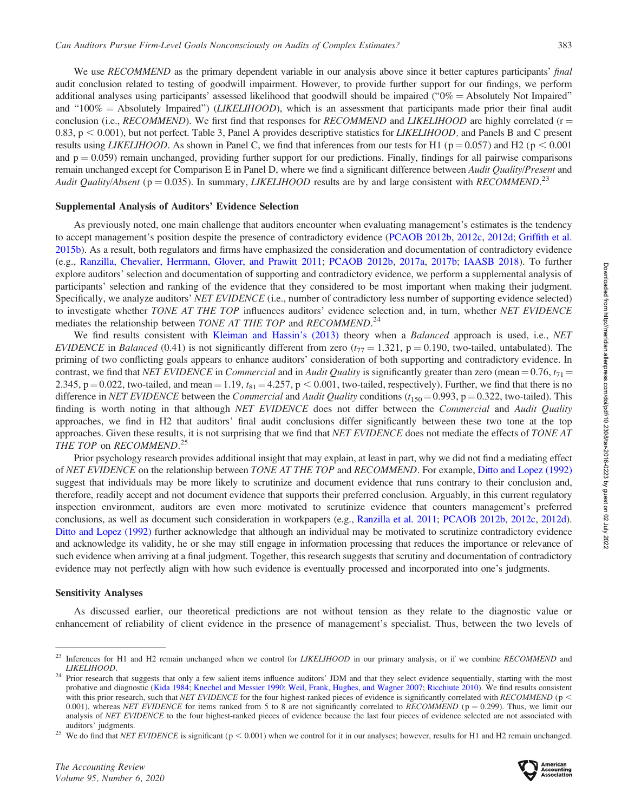We use RECOMMEND as the primary dependent variable in our analysis above since it better captures participants' final audit conclusion related to testing of goodwill impairment. However, to provide further support for our findings, we perform additional analyses using participants' assessed likelihood that goodwill should be impaired ( $0\%$  = Absolutely Not Impaired'') and "100% = Absolutely Impaired") (*LIKELIHOOD*), which is an assessment that participants made prior their final audit conclusion (i.e., RECOMMEND). We first find that responses for RECOMMEND and LIKELIHOOD are highly correlated ( $r =$ 0.83,  $p < 0.001$ ), but not perfect. Table 3, Panel A provides descriptive statistics for *LIKELIHOOD*, and Panels B and C present results using *LIKELIHOOD*. As shown in Panel C, we find that inferences from our tests for H1 ( $p = 0.057$ ) and H2 ( $p < 0.001$ ) and  $p = 0.059$ ) remain unchanged, providing further support for our predictions. Finally, findings for all pairwise comparisons remain unchanged except for Comparison E in Panel D, where we find a significant difference between Audit Quality/Present and Audit Quality/Absent ( $p = 0.035$ ). In summary, LIKELIHOOD results are by and large consistent with RECOMMEND.<sup>23</sup>

#### Supplemental Analysis of Auditors' Evidence Selection

As previously noted, one main challenge that auditors encounter when evaluating management's estimates is the tendency to accept management's position despite the presence of contradictory evidence [\(PCAOB 2012b](#page-24-0), [2012c](#page-24-0), [2012d](#page-24-0); [Griffith et al.](#page-23-0) [2015b\)](#page-23-0). As a result, both regulators and firms have emphasized the consideration and documentation of contradictory evidence (e.g., [Ranzilla, Chevalier, Herrmann, Glover, and Prawitt 2011](#page-25-0); [PCAOB 2012b](#page-24-0), [2017a](#page-25-0), [2017b;](#page-25-0) [IAASB 2018](#page-23-0)). To further explore auditors' selection and documentation of supporting and contradictory evidence, we perform a supplemental analysis of participants' selection and ranking of the evidence that they considered to be most important when making their judgment. Specifically, we analyze auditors' NET EVIDENCE (i.e., number of contradictory less number of supporting evidence selected) to investigate whether TONE AT THE TOP influences auditors' evidence selection and, in turn, whether NET EVIDENCE mediates the relationship between TONE AT THE TOP and RECOMMEND.<sup>24</sup>

We find results consistent with [Kleiman and Hassin's \(2013\)](#page-24-0) theory when a Balanced approach is used, i.e., NET EVIDENCE in Balanced (0.41) is not significantly different from zero  $(t_{77} = 1.321, p = 0.190,$  two-tailed, untabulated). The priming of two conflicting goals appears to enhance auditors' consideration of both supporting and contradictory evidence. In contrast, we find that NET EVIDENCE in Commercial and in Audit Quality is significantly greater than zero (mean = 0.76,  $t_{71}$  = 2.345,  $p = 0.022$ , two-tailed, and mean = 1.19,  $t_{81} = 4.257$ ,  $p < 0.001$ , two-tailed, respectively). Further, we find that there is no difference in NET EVIDENCE between the Commercial and Audit Quality conditions  $(t_{150} = 0.993, p = 0.322,$  two-tailed). This finding is worth noting in that although NET EVIDENCE does not differ between the Commercial and Audit Quality approaches, we find in H2 that auditors' final audit conclusions differ significantly between these two tone at the top approaches. Given these results, it is not surprising that we find that NET EVIDENCE does not mediate the effects of TONE AT THE TOP on RECOMMEND.<sup>25</sup>

Prior psychology research provides additional insight that may explain, at least in part, why we did not find a mediating effect of NET EVIDENCE on the relationship between TONE AT THE TOP and RECOMMEND. For example, [Ditto and Lopez \(1992\)](#page-22-0) suggest that individuals may be more likely to scrutinize and document evidence that runs contrary to their conclusion and, therefore, readily accept and not document evidence that supports their preferred conclusion. Arguably, in this current regulatory inspection environment, auditors are even more motivated to scrutinize evidence that counters management's preferred conclusions, as well as document such consideration in workpapers (e.g., [Ranzilla et al. 2011](#page-25-0); [PCAOB 2012b,](#page-24-0) [2012c](#page-24-0), [2012d](#page-24-0)). [Ditto and Lopez \(1992\)](#page-22-0) further acknowledge that although an individual may be motivated to scrutinize contradictory evidence and acknowledge its validity, he or she may still engage in information processing that reduces the importance or relevance of such evidence when arriving at a final judgment. Together, this research suggests that scrutiny and documentation of contradictory evidence may not perfectly align with how such evidence is eventually processed and incorporated into one's judgments.

#### Sensitivity Analyses

As discussed earlier, our theoretical predictions are not without tension as they relate to the diagnostic value or enhancement of reliability of client evidence in the presence of management's specialist. Thus, between the two levels of

 $^{23}$  Inferences for H1 and H2 remain unchanged when we control for *LIKELIHOOD* in our primary analysis, or if we combine *RECOMMEND* and

LIKELIHOOD. <sup>24</sup> Prior research that suggests that only a few salient items influence auditors' JDM and that they select evidence sequentially, starting with the most probative and diagnostic ([Kida 1984](#page-24-0); [Knechel and Messier 1990;](#page-24-0) [Weil, Frank, Hughes, and Wagner 2007](#page-25-0); [Ricchiute 2010\)](#page-25-0). We find results consistent with this prior research, such that NET EVIDENCE for the four highest-ranked pieces of evidence is significantly correlated with RECOMMEND ( $p$  < 0.001), whereas NET EVIDENCE for items ranked from 5 to 8 are not significantly correlated to RECOMMEND ( $p = 0.299$ ). Thus, we limit our analysis of NET EVIDENCE to the four highest-ranked pieces of evidence because the last four pieces of evidence selected are not associated with

auditors' judgments.<br><sup>25</sup> We do find that NET EVIDENCE is significant ( $p < 0.001$ ) when we control for it in our analyses; however, results for H1 and H2 remain unchanged.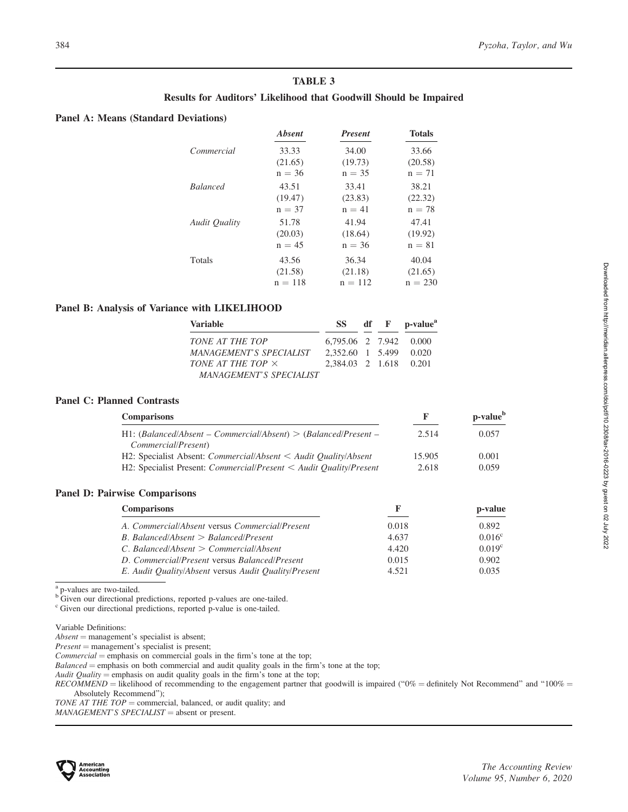# TABLE 3

### Results for Auditors' Likelihood that Goodwill Should be Impaired

### Panel A: Means (Standard Deviations)

|                      | <b>Absent</b> | <b>Present</b> | <b>Totals</b> |
|----------------------|---------------|----------------|---------------|
| Commercial           | 33.33         | 34.00          | 33.66         |
|                      | (21.65)       | (19.73)        | (20.58)       |
|                      | $n = 36$      | $n = 35$       | $n = 71$      |
| <b>Balanced</b>      | 43.51         | 33.41          | 38.21         |
|                      | (19.47)       | (23.83)        | (22.32)       |
|                      | $n = 37$      | $n = 41$       | $n = 78$      |
| <b>Audit Quality</b> | 51.78         | 41.94          | 47.41         |
|                      | (20.03)       | (18.64)        | (19.92)       |
|                      | $n = 45$      | $n = 36$       | $n = 81$      |
| <b>Totals</b>        | 43.56         | 36.34          | 40.04         |
|                      | (21.58)       | (21.18)        | (21.65)       |
|                      | $n = 118$     | $n = 112$      | $n = 230$     |
|                      |               |                |               |

### Panel B: Analysis of Variance with LIKELIHOOD

| <b>Variable</b>                |                        |  | SS df F p-value <sup>a</sup> |  |
|--------------------------------|------------------------|--|------------------------------|--|
| TONE AT THE TOP                | 6,795.06 2 7.942 0.000 |  |                              |  |
| <i>MANAGEMENT'S SPECIALIST</i> | 2.352.60 1 5.499 0.020 |  |                              |  |
| TONE AT THE TOP X              | 2.384.03 2 1.618 0.201 |  |                              |  |
| <b>MANAGEMENT'S SPECIALIST</b> |                        |  |                              |  |

### Panel C: Planned Contrasts

| <b>Comparisons</b>                                                               |        | p-value <sup>b</sup> |  |
|----------------------------------------------------------------------------------|--------|----------------------|--|
| $H1: (Balanced/Absent - Commercial/Absent) > (Balanced/Present -$                | 2.514  | 0.057                |  |
| Commercial/Present)                                                              |        |                      |  |
| H2: Specialist Absent: <i>Commercial/Absent</i> < <i>Audit Quality/Absent</i>    | 15.905 | 0.001                |  |
| H2: Specialist Present: <i>Commercial/Present</i> < <i>Audit Quality/Present</i> | 2.618  | 0.059                |  |

### Panel D: Pairwise Comparisons

| <b>Comparisons</b>                                   |       | p-value            |
|------------------------------------------------------|-------|--------------------|
| A. Commercial/Absent versus Commercial/Present       | 0.018 | 0.892              |
| $B.$ Balanced/Absent $>$ Balanced/Present            | 4.637 | $0.016^{\circ}$    |
| $C.$ Balanced/Absent $\geq$ Commercial/Absent        | 4.420 | 0.019 <sup>c</sup> |
| D. Commercial/Present versus Balanced/Present        | 0.015 | 0.902              |
| E. Audit Quality/Absent versus Audit Quality/Present | 4.521 | 0.035              |

<sup>a</sup> p-values are two-tailed.

<sup>b</sup> Given our directional predictions, reported p-values are one-tailed.

<sup>c</sup> Given our directional predictions, reported p-value is one-tailed.

Variable Definitions:

 $Absent = management's specialist is absent;$ 

 $Present = management's specialist is present;$ 

 $Commercial$  = emphasis on commercial goals in the firm's tone at the top;

 $Balanced$  = emphasis on both commercial and audit quality goals in the firm's tone at the top;

Audit Quality = emphasis on audit quality goals in the firm's tone at the top;

 $RECOMMEND = likelihood$  of recommending to the engagement partner that goodwill is impaired ("0% = definitely Not Recommend" and "100% = Absolutely Recommend'');

TONE AT THE TOP = commercial, balanced, or audit quality; and

 $MANAGEMENT'S SPECIALIST = absent or present.$ 

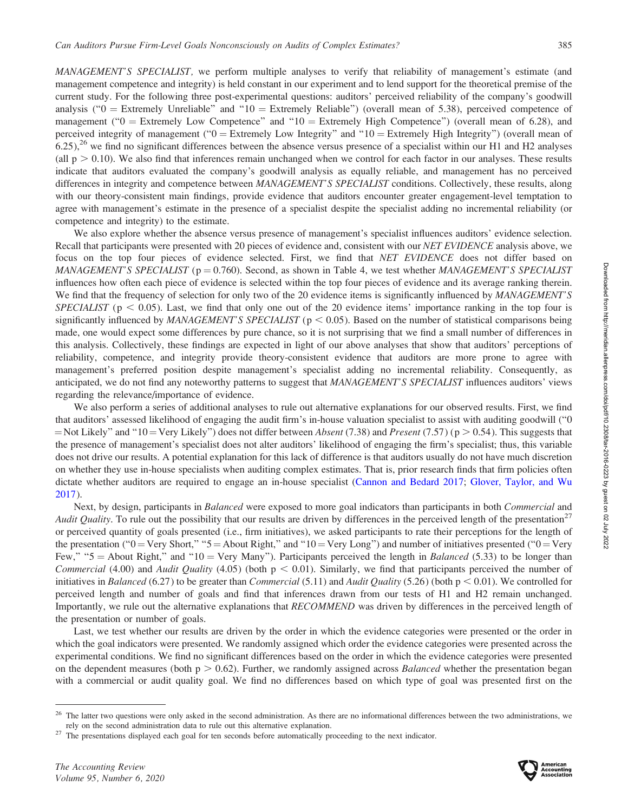MANAGEMENT'S SPECIALIST, we perform multiple analyses to verify that reliability of management's estimate (and management competence and integrity) is held constant in our experiment and to lend support for the theoretical premise of the current study. For the following three post-experimental questions: auditors' perceived reliability of the company's goodwill analysis ( $"0$  = Extremely Unreliable" and  $"10$  = Extremely Reliable") (overall mean of 5.38), perceived competence of management ( $"0 =$  Extremely Low Competence" and  $"10 =$  Extremely High Competence") (overall mean of 6.28), and perceived integrity of management (" $0 =$  Extremely Low Integrity" and " $10 =$  Extremely High Integrity") (overall mean of  $6.25$ ,<sup>26</sup> we find no significant differences between the absence versus presence of a specialist within our H1 and H2 analyses (all  $p > 0.10$ ). We also find that inferences remain unchanged when we control for each factor in our analyses. These results indicate that auditors evaluated the company's goodwill analysis as equally reliable, and management has no perceived differences in integrity and competence between MANAGEMENT'S SPECIALIST conditions. Collectively, these results, along with our theory-consistent main findings, provide evidence that auditors encounter greater engagement-level temptation to agree with management's estimate in the presence of a specialist despite the specialist adding no incremental reliability (or competence and integrity) to the estimate.

We also explore whether the absence versus presence of management's specialist influences auditors' evidence selection. Recall that participants were presented with 20 pieces of evidence and, consistent with our NET EVIDENCE analysis above, we focus on the top four pieces of evidence selected. First, we find that NET EVIDENCE does not differ based on MANAGEMENT'S SPECIALIST ( $p = 0.760$ ). Second, as shown in Table 4, we test whether MANAGEMENT'S SPECIALIST influences how often each piece of evidence is selected within the top four pieces of evidence and its average ranking therein. We find that the frequency of selection for only two of the 20 evidence items is significantly influenced by MANAGEMENT'S SPECIALIST ( $p < 0.05$ ). Last, we find that only one out of the 20 evidence items' importance ranking in the top four is significantly influenced by *MANAGEMENT'S SPECIALIST* ( $p < 0.05$ ). Based on the number of statistical comparisons being made, one would expect some differences by pure chance, so it is not surprising that we find a small number of differences in this analysis. Collectively, these findings are expected in light of our above analyses that show that auditors' perceptions of reliability, competence, and integrity provide theory-consistent evidence that auditors are more prone to agree with management's preferred position despite management's specialist adding no incremental reliability. Consequently, as anticipated, we do not find any noteworthy patterns to suggest that MANAGEMENT'S SPECIALIST influences auditors' views regarding the relevance/importance of evidence.

We also perform a series of additional analyses to rule out alternative explanations for our observed results. First, we find that auditors' assessed likelihood of engaging the audit firm's in-house valuation specialist to assist with auditing goodwill (''0 = Not Likely'' and "10 = Very Likely") does not differ between Absent (7.38) and Present (7.57) (p  $> 0.54$ ). This suggests that the presence of management's specialist does not alter auditors' likelihood of engaging the firm's specialist; thus, this variable does not drive our results. A potential explanation for this lack of difference is that auditors usually do not have much discretion on whether they use in-house specialists when auditing complex estimates. That is, prior research finds that firm policies often dictate whether auditors are required to engage an in-house specialist ([Cannon and Bedard 2017](#page-22-0); [Glover, Taylor, and Wu](#page-23-0) [2017](#page-23-0)).

Next, by design, participants in Balanced were exposed to more goal indicators than participants in both Commercial and Audit Quality. To rule out the possibility that our results are driven by differences in the perceived length of the presentation<sup>27</sup> or perceived quantity of goals presented (i.e., firm initiatives), we asked participants to rate their perceptions for the length of the presentation (" $0 = \text{Very Short},$ " " $5 = \text{About Right},$ " and " $10 = \text{Very Long}$ ") and number of initiatives presented (" $0 = \text{Very Short},$ " Few," " $5 =$  About Right," and "10 = Very Many"). Participants perceived the length in Balanced (5.33) to be longer than Commercial (4.00) and Audit Quality (4.05) (both  $p < 0.01$ ). Similarly, we find that participants perceived the number of initiatives in Balanced (6.27) to be greater than *Commercial* (5.11) and *Audit Quality* (5.26) (both  $p < 0.01$ ). We controlled for perceived length and number of goals and find that inferences drawn from our tests of H1 and H2 remain unchanged. Importantly, we rule out the alternative explanations that RECOMMEND was driven by differences in the perceived length of the presentation or number of goals.

Last, we test whether our results are driven by the order in which the evidence categories were presented or the order in which the goal indicators were presented. We randomly assigned which order the evidence categories were presented across the experimental conditions. We find no significant differences based on the order in which the evidence categories were presented on the dependent measures (both  $p > 0.62$ ). Further, we randomly assigned across *Balanced* whether the presentation began with a commercial or audit quality goal. We find no differences based on which type of goal was presented first on the



 $^{26}$  The latter two questions were only asked in the second administration. As there are no informational differences between the two administrations, we rely on the second administration data to rule out this alternati

 $27$  The presentations displayed each goal for ten seconds before automatically proceeding to the next indicator.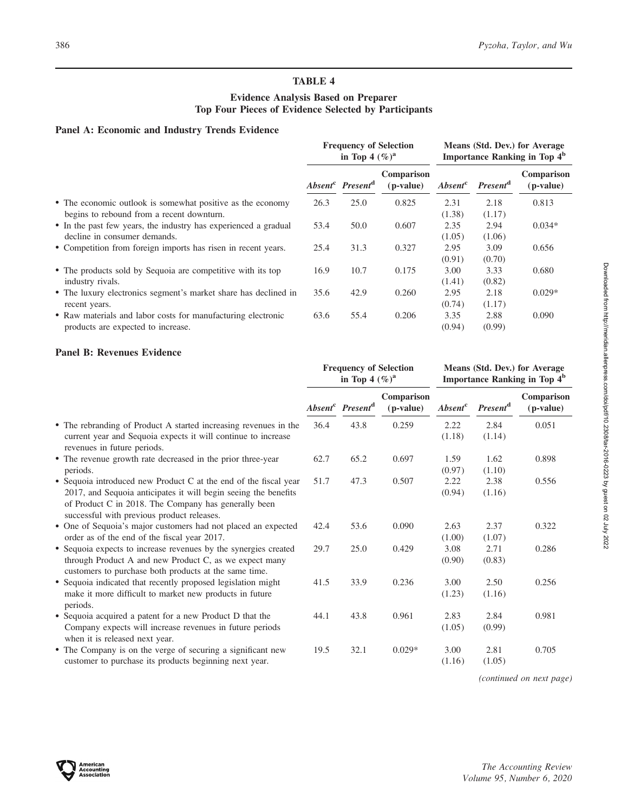(0.94) (0.99)

# TABLE 4

# Evidence Analysis Based on Preparer Top Four Pieces of Evidence Selected by Participants

### Panel A: Economic and Industry Trends Evidence

|                                                                                                         | <b>Frequency of Selection</b><br>in Top 4 $(\%)^a$ |                                          |                           | Means (Std. Dev.) for Average<br>Importance Ranking in Top 4 <sup>b</sup> |                            |                           |
|---------------------------------------------------------------------------------------------------------|----------------------------------------------------|------------------------------------------|---------------------------|---------------------------------------------------------------------------|----------------------------|---------------------------|
|                                                                                                         |                                                    | Absent <sup>c</sup> Present <sup>d</sup> | Comparison<br>$(p-value)$ | <i>Absent</i> <sup>c</sup>                                                | <b>Present<sup>a</sup></b> | Comparison<br>$(p-value)$ |
| • The economic outlook is somewhat positive as the economy<br>begins to rebound from a recent downturn. | 26.3                                               | 25.0                                     | 0.825                     | 2.31<br>(1.38)                                                            | 2.18<br>(1.17)             | 0.813                     |
| • In the past few years, the industry has experienced a gradual<br>decline in consumer demands.         | 53.4                                               | 50.0                                     | 0.607                     | 2.35<br>(1.05)                                                            | 2.94<br>(1.06)             | $0.034*$                  |
| • Competition from foreign imports has risen in recent years.                                           | 25.4                                               | 31.3                                     | 0.327                     | 2.95<br>(0.91)                                                            | 3.09<br>(0.70)             | 0.656                     |
| • The products sold by Sequoia are competitive with its top<br>industry rivals.                         | 16.9                                               | 10.7                                     | 0.175                     | 3.00<br>(1.41)                                                            | 3.33<br>(0.82)             | 0.680                     |
| • The luxury electronics segment's market share has declined in<br>recent years.                        | 35.6                                               | 42.9                                     | 0.260                     | 2.95<br>(0.74)                                                            | 2.18<br>(1.17)             | $0.029*$                  |
| • Raw materials and labor costs for manufacturing electronic                                            | 63.6                                               | 55.4                                     | 0.206                     | 3.35                                                                      | 2.88                       | 0.090                     |

products are expected to increase.

### Panel B: Revenues Evidence

|                                                                                                                                                                                                                                           | <b>Frequency of Selection</b><br>in Top 4 $(\%)^a$ |                                          |                           |                     | Means (Std. Dev.) for Average<br><b>Importance Ranking in Top 4<sup>b</sup></b> |                         |
|-------------------------------------------------------------------------------------------------------------------------------------------------------------------------------------------------------------------------------------------|----------------------------------------------------|------------------------------------------|---------------------------|---------------------|---------------------------------------------------------------------------------|-------------------------|
|                                                                                                                                                                                                                                           |                                                    | Absent <sup>c</sup> Present <sup>d</sup> | Comparison<br>$(p-value)$ | Absent <sup>c</sup> | <b>Present</b> <sup>d</sup>                                                     | Comparison<br>(p-value) |
| • The rebranding of Product A started increasing revenues in the<br>current year and Sequoia expects it will continue to increase<br>revenues in future periods.                                                                          | 36.4                                               | 43.8                                     | 0.259                     | 2.22<br>(1.18)      | 2.84<br>(1.14)                                                                  | 0.051                   |
| • The revenue growth rate decreased in the prior three-year<br>periods.                                                                                                                                                                   | 62.7                                               | 65.2                                     | 0.697                     | 1.59<br>(0.97)      | 1.62<br>(1.10)                                                                  | 0.898                   |
| • Sequoia introduced new Product C at the end of the fiscal year<br>2017, and Sequoia anticipates it will begin seeing the benefits<br>of Product C in 2018. The Company has generally been<br>successful with previous product releases. | 51.7                                               | 47.3                                     | 0.507                     | 2.22<br>(0.94)      | 2.38<br>(1.16)                                                                  | 0.556                   |
| • One of Sequoia's major customers had not placed an expected<br>order as of the end of the fiscal year 2017.                                                                                                                             | 42.4                                               | 53.6                                     | 0.090                     | 2.63<br>(1.00)      | 2.37<br>(1.07)                                                                  | 0.322                   |
| • Sequoia expects to increase revenues by the synergies created<br>through Product A and new Product C, as we expect many<br>customers to purchase both products at the same time.                                                        | 29.7                                               | 25.0                                     | 0.429                     | 3.08<br>(0.90)      | 2.71<br>(0.83)                                                                  | 0.286                   |
| • Sequoia indicated that recently proposed legislation might<br>make it more difficult to market new products in future<br>periods.                                                                                                       | 41.5                                               | 33.9                                     | 0.236                     | 3.00<br>(1.23)      | 2.50<br>(1.16)                                                                  | 0.256                   |
| • Sequoia acquired a patent for a new Product D that the<br>Company expects will increase revenues in future periods<br>when it is released next year.                                                                                    | 44.1                                               | 43.8                                     | 0.961                     | 2.83<br>(1.05)      | 2.84<br>(0.99)                                                                  | 0.981                   |
| • The Company is on the verge of securing a significant new<br>customer to purchase its products beginning next year.                                                                                                                     | 19.5                                               | 32.1                                     | $0.029*$                  | 3.00<br>(1.16)      | 2.81<br>(1.05)                                                                  | 0.705                   |

(continued on next page)

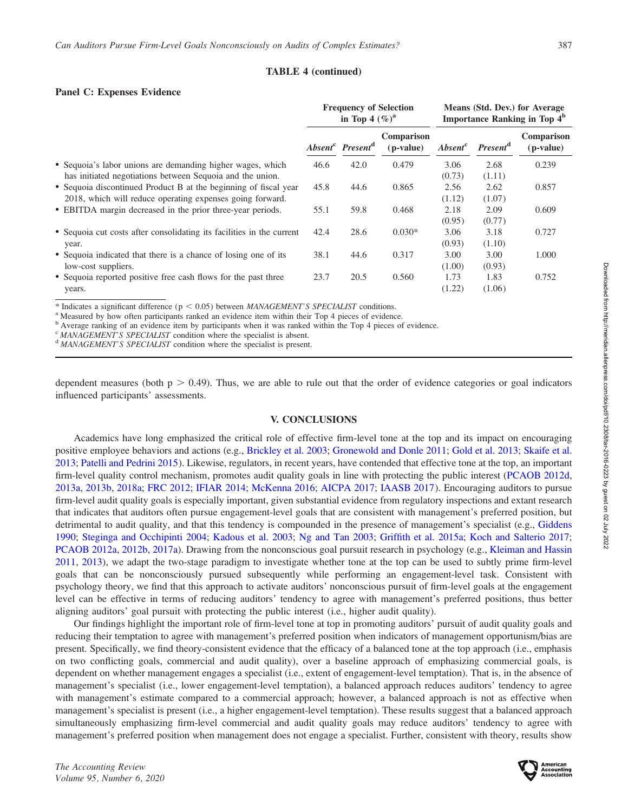### TABLE 4 (continued)

### Panel C: Expenses Evidence

|                                                                                                                               | <b>Frequency of Selection</b><br>in Top 4 $(\%)^a$ |                                          |                         | Means (Std. Dev.) for Average<br>Importance Ranking in Top 4 <sup>b</sup> |                            |                           |
|-------------------------------------------------------------------------------------------------------------------------------|----------------------------------------------------|------------------------------------------|-------------------------|---------------------------------------------------------------------------|----------------------------|---------------------------|
|                                                                                                                               |                                                    | Absent <sup>c</sup> Present <sup>d</sup> | Comparison<br>(p-value) | <i>Absent</i> <sup>c</sup>                                                | <b>Present<sup>a</sup></b> | Comparison<br>$(p-value)$ |
| • Sequoia's labor unions are demanding higher wages, which<br>has initiated negotiations between Sequoia and the union.       | 46.6                                               | 42.0                                     | 0.479                   | 3.06<br>(0.73)                                                            | 2.68<br>(1.11)             | 0.239                     |
| • Sequoia discontinued Product B at the beginning of fiscal year<br>2018, which will reduce operating expenses going forward. | 45.8                                               | 44.6                                     | 0.865                   | 2.56<br>(1.12)                                                            | 2.62<br>(1.07)             | 0.857                     |
| • EBITDA margin decreased in the prior three-year periods.                                                                    | 55.1                                               | 59.8                                     | 0.468                   | 2.18<br>(0.95)                                                            | 2.09<br>(0.77)             | 0.609                     |
| • Sequoia cut costs after consolidating its facilities in the current<br>year.                                                | 42.4                                               | 28.6                                     | $0.030*$                | 3.06<br>(0.93)                                                            | 3.18<br>(1.10)             | 0.727                     |
| • Sequoia indicated that there is a chance of losing one of its<br>low-cost suppliers.                                        | 38.1                                               | 44.6                                     | 0.317                   | 3.00<br>(1.00)                                                            | 3.00<br>(0.93)             | 1.000                     |
| • Sequoia reported positive free cash flows for the past three<br>years.                                                      | 23.7                                               | 20.5                                     | 0.560                   | 1.73<br>(1.22)                                                            | 1.83<br>(1.06)             | 0.752                     |

\* Indicates a significant difference ( $p < 0.05$ ) between *MANAGEMENT'S SPECIALIST* conditions. <br><sup>a</sup> Measured by how often participants ranked an evidence item within their Top 4 pieces of evidence.

<sup>b</sup> Average ranking of an evidence item by participants when it was ranked within the Top 4 pieces of evidence.

 $\sigma$  MANAGEMENT'S SPECIALIST condition where the specialist is absent.  $\sigma$  MANAGEMENT'S SPECIALIST condition where the specialist is present.

dependent measures (both  $p > 0.49$ ). Thus, we are able to rule out that the order of evidence categories or goal indicators influenced participants' assessments.

### V. CONCLUSIONS

Academics have long emphasized the critical role of effective firm-level tone at the top and its impact on encouraging positive employee behaviors and actions (e.g., [Brickley et al. 2003](#page-22-0); [Gronewold and Donle 2011;](#page-23-0) [Gold et al. 2013;](#page-23-0) [Skaife et al.](#page-25-0) [2013;](#page-25-0) [Patelli and Pedrini 2015](#page-24-0)). Likewise, regulators, in recent years, have contended that effective tone at the top, an important firm-level quality control mechanism, promotes audit quality goals in line with protecting the public interest [\(PCAOB 2012d,](#page-24-0) [2013a](#page-24-0), [2013b,](#page-24-0) [2018a](#page-25-0); [FRC 2012;](#page-22-0) [IFIAR 2014;](#page-23-0) [McKenna 2016](#page-24-0); [AICPA 2017](#page-21-0); [IAASB 2017](#page-23-0)). Encouraging auditors to pursue firm-level audit quality goals is especially important, given substantial evidence from regulatory inspections and extant research that indicates that auditors often pursue engagement-level goals that are consistent with management's preferred position, but detrimental to audit quality, and that this tendency is compounded in the presence of management's specialist (e.g., [Giddens](#page-23-0) [1990;](#page-23-0) [Steginga and Occhipinti 2004;](#page-25-0) [Kadous et al. 2003;](#page-23-0) [Ng and Tan 2003](#page-24-0); [Griffith et al. 2015a;](#page-23-0) [Koch and Salterio 2017](#page-24-0); [PCAOB 2012a](#page-24-0), [2012b](#page-24-0), [2017a](#page-25-0)). Drawing from the nonconscious goal pursuit research in psychology (e.g., [Kleiman and Hassin](#page-24-0) [2011,](#page-24-0) [2013\)](#page-24-0), we adapt the two-stage paradigm to investigate whether tone at the top can be used to subtly prime firm-level goals that can be nonconsciously pursued subsequently while performing an engagement-level task. Consistent with psychology theory, we find that this approach to activate auditors' nonconscious pursuit of firm-level goals at the engagement level can be effective in terms of reducing auditors' tendency to agree with management's preferred positions, thus better aligning auditors' goal pursuit with protecting the public interest (i.e., higher audit quality).

Our findings highlight the important role of firm-level tone at top in promoting auditors' pursuit of audit quality goals and reducing their temptation to agree with management's preferred position when indicators of management opportunism/bias are present. Specifically, we find theory-consistent evidence that the efficacy of a balanced tone at the top approach (i.e., emphasis on two conflicting goals, commercial and audit quality), over a baseline approach of emphasizing commercial goals, is dependent on whether management engages a specialist (i.e., extent of engagement-level temptation). That is, in the absence of management's specialist (i.e., lower engagement-level temptation), a balanced approach reduces auditors' tendency to agree with management's estimate compared to a commercial approach; however, a balanced approach is not as effective when management's specialist is present (i.e., a higher engagement-level temptation). These results suggest that a balanced approach simultaneously emphasizing firm-level commercial and audit quality goals may reduce auditors' tendency to agree with management's preferred position when management does not engage a specialist. Further, consistent with theory, results show

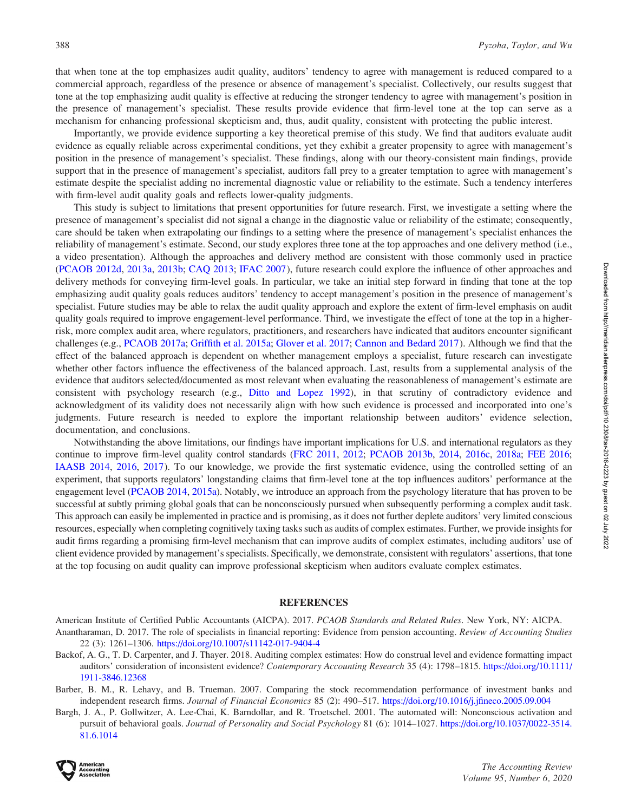<span id="page-21-0"></span>that when tone at the top emphasizes audit quality, auditors' tendency to agree with management is reduced compared to a commercial approach, regardless of the presence or absence of management's specialist. Collectively, our results suggest that tone at the top emphasizing audit quality is effective at reducing the stronger tendency to agree with management's position in the presence of management's specialist. These results provide evidence that firm-level tone at the top can serve as a mechanism for enhancing professional skepticism and, thus, audit quality, consistent with protecting the public interest.

Importantly, we provide evidence supporting a key theoretical premise of this study. We find that auditors evaluate audit evidence as equally reliable across experimental conditions, yet they exhibit a greater propensity to agree with management's position in the presence of management's specialist. These findings, along with our theory-consistent main findings, provide support that in the presence of management's specialist, auditors fall prey to a greater temptation to agree with management's estimate despite the specialist adding no incremental diagnostic value or reliability to the estimate. Such a tendency interferes with firm-level audit quality goals and reflects lower-quality judgments.

This study is subject to limitations that present opportunities for future research. First, we investigate a setting where the presence of management's specialist did not signal a change in the diagnostic value or reliability of the estimate; consequently, care should be taken when extrapolating our findings to a setting where the presence of management's specialist enhances the reliability of management's estimate. Second, our study explores three tone at the top approaches and one delivery method (i.e., a video presentation). Although the approaches and delivery method are consistent with those commonly used in practice [\(PCAOB 2012d](#page-24-0), [2013a](#page-24-0), [2013b;](#page-24-0) [CAQ 2013](#page-22-0); [IFAC 2007](#page-23-0)), future research could explore the influence of other approaches and delivery methods for conveying firm-level goals. In particular, we take an initial step forward in finding that tone at the top emphasizing audit quality goals reduces auditors' tendency to accept management's position in the presence of management's specialist. Future studies may be able to relax the audit quality approach and explore the extent of firm-level emphasis on audit quality goals required to improve engagement-level performance. Third, we investigate the effect of tone at the top in a higherrisk, more complex audit area, where regulators, practitioners, and researchers have indicated that auditors encounter significant challenges (e.g., [PCAOB 2017a;](#page-25-0) [Griffith et al. 2015a](#page-23-0); [Glover et al. 2017;](#page-23-0) [Cannon and Bedard 2017](#page-22-0)). Although we find that the effect of the balanced approach is dependent on whether management employs a specialist, future research can investigate whether other factors influence the effectiveness of the balanced approach. Last, results from a supplemental analysis of the evidence that auditors selected/documented as most relevant when evaluating the reasonableness of management's estimate are consistent with psychology research (e.g., [Ditto and Lopez 1992\)](#page-22-0), in that scrutiny of contradictory evidence and acknowledgment of its validity does not necessarily align with how such evidence is processed and incorporated into one's judgments. Future research is needed to explore the important relationship between auditors' evidence selection, documentation, and conclusions.

Notwithstanding the above limitations, our findings have important implications for U.S. and international regulators as they continue to improve firm-level quality control standards [\(FRC 2011](#page-22-0), [2012](#page-22-0); [PCAOB 2013b,](#page-24-0) [2014,](#page-24-0) [2016c,](#page-25-0) [2018a;](#page-25-0) [FEE 2016](#page-22-0); [IAASB 2014](#page-23-0), [2016](#page-23-0), [2017](#page-23-0)). To our knowledge, we provide the first systematic evidence, using the controlled setting of an experiment, that supports regulators' longstanding claims that firm-level tone at the top influences auditors' performance at the engagement level ([PCAOB 2014](#page-24-0), [2015a](#page-24-0)). Notably, we introduce an approach from the psychology literature that has proven to be successful at subtly priming global goals that can be nonconsciously pursued when subsequently performing a complex audit task. This approach can easily be implemented in practice and is promising, as it does not further deplete auditors' very limited conscious resources, especially when completing cognitively taxing tasks such as audits of complex estimates. Further, we provide insights for audit firms regarding a promising firm-level mechanism that can improve audits of complex estimates, including auditors' use of client evidence provided by management's specialists. Specifically, we demonstrate, consistent with regulators' assertions, that tone at the top focusing on audit quality can improve professional skepticism when auditors evaluate complex estimates.

#### **REFERENCES**

American Institute of Certified Public Accountants (AICPA). 2017. PCAOB Standards and Related Rules. New York, NY: AICPA. Anantharaman, D. 2017. The role of specialists in financial reporting: Evidence from pension accounting. Review of Accounting Studies 22 (3): 1261–1306. <https://doi.org/10.1007/s11142-017-9404-4>

- Backof, A. G., T. D. Carpenter, and J. Thayer. 2018. Auditing complex estimates: How do construal level and evidence formatting impact auditors' consideration of inconsistent evidence? Contemporary Accounting Research 35 (4): 1798–1815. [https://doi.org/10.1111/](https://doi.org/10.1111/1911-3846.12368) [1911-3846.12368](https://doi.org/10.1111/1911-3846.12368)
- Barber, B. M., R. Lehavy, and B. Trueman. 2007. Comparing the stock recommendation performance of investment banks and independent research firms. Journal of Financial Economics 85 (2): 490–517. <https://doi.org/10.1016/j.jfineco.2005.09.004>
- Bargh, J. A., P. Gollwitzer, A. Lee-Chai, K. Barndollar, and R. Troetschel. 2001. The automated will: Nonconscious activation and pursuit of behavioral goals. Journal of Personality and Social Psychology 81 (6): 1014–1027. [https://doi.org/10.1037/0022-3514.](https://doi.org/10.1037/0022-3514.81.6.1014) [81.6.1014](https://doi.org/10.1037/0022-3514.81.6.1014)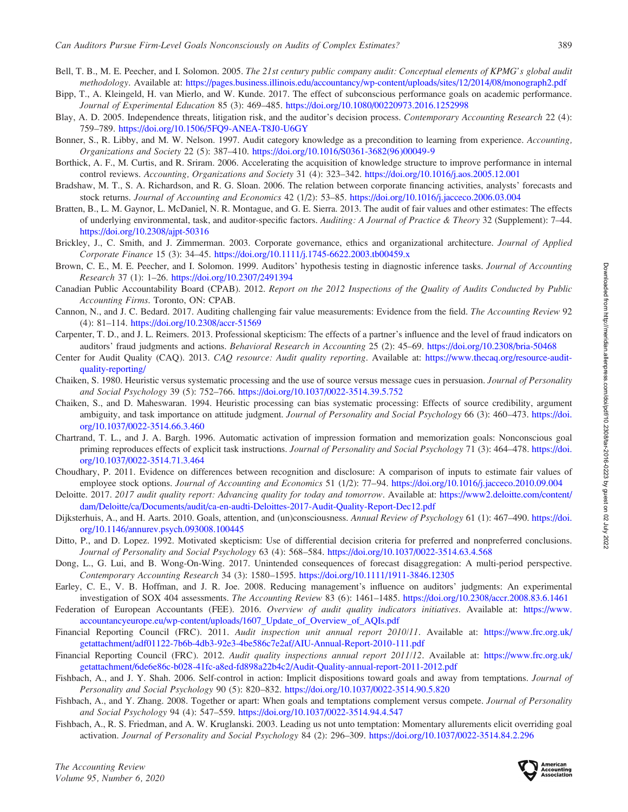- <span id="page-22-0"></span>Bell, T. B., M. E. Peecher, and I. Solomon. 2005. The 21st century public company audit: Conceptual elements of KPMG's global audit methodology. Available at: <https://pages.business.illinois.edu/accountancy/wp-content/uploads/sites/12/2014/08/monograph2.pdf>
- Bipp, T., A. Kleingeld, H. van Mierlo, and W. Kunde. 2017. The effect of subconscious performance goals on academic performance. Journal of Experimental Education 85 (3): 469–485. <https://doi.org/10.1080/00220973.2016.1252998>
- Blay, A. D. 2005. Independence threats, litigation risk, and the auditor's decision process. Contemporary Accounting Research 22 (4): 759–789. <https://doi.org/10.1506/5FQ9-ANEA-T8J0-U6GY>
- Bonner, S., R. Libby, and M. W. Nelson. 1997. Audit category knowledge as a precondition to learning from experience. Accounting, Organizations and Society 22 (5): 387–410. [https://doi.org/10.1016/S0361-3682\(96\)00049-9](https://doi.org/10.1016/S0361-3682(96)00049-9)
- Borthick, A. F., M. Curtis, and R. Sriram. 2006. Accelerating the acquisition of knowledge structure to improve performance in internal control reviews. Accounting, Organizations and Society 31 (4): 323–342. <https://doi.org/10.1016/j.aos.2005.12.001>
- Bradshaw, M. T., S. A. Richardson, and R. G. Sloan. 2006. The relation between corporate financing activities, analysts' forecasts and stock returns. Journal of Accounting and Economics 42 (1/2): 53–85. <https://doi.org/10.1016/j.jacceco.2006.03.004>
- Bratten, B., L. M. Gaynor, L. McDaniel, N. R. Montague, and G. E. Sierra. 2013. The audit of fair values and other estimates: The effects of underlying environmental, task, and auditor-specific factors. Auditing: A Journal of Practice & Theory 32 (Supplement): 7–44. <https://doi.org/10.2308/ajpt-50316>
- Brickley, J., C. Smith, and J. Zimmerman. 2003. Corporate governance, ethics and organizational architecture. Journal of Applied Corporate Finance 15 (3): 34–45. <https://doi.org/10.1111/j.1745-6622.2003.tb00459.x>
- Brown, C. E., M. E. Peecher, and I. Solomon. 1999. Auditors' hypothesis testing in diagnostic inference tasks. Journal of Accounting Research 37 (1): 1–26. <https://doi.org/10.2307/2491394>
- Canadian Public Accountability Board (CPAB). 2012. Report on the 2012 Inspections of the Quality of Audits Conducted by Public Accounting Firms. Toronto, ON: CPAB.
- Cannon, N., and J. C. Bedard. 2017. Auditing challenging fair value measurements: Evidence from the field. The Accounting Review 92 (4): 81–114. <https://doi.org/10.2308/accr-51569>
- Carpenter, T. D., and J. L. Reimers. 2013. Professional skepticism: The effects of a partner's influence and the level of fraud indicators on auditors' fraud judgments and actions. Behavioral Research in Accounting 25 (2): 45–69. <https://doi.org/10.2308/bria-50468>
- Center for Audit Quality (CAQ). 2013. CAQ resource: Audit quality reporting. Available at: [https://www.thecaq.org/resource-audit](https://www.thecaq.org/resource-audit-quality-reporting/)[quality-reporting/](https://www.thecaq.org/resource-audit-quality-reporting/)
- Chaiken, S. 1980. Heuristic versus systematic processing and the use of source versus message cues in persuasion. Journal of Personality and Social Psychology 39 (5): 752–766. <https://doi.org/10.1037/0022-3514.39.5.752>
- Chaiken, S., and D. Maheswaran. 1994. Heuristic processing can bias systematic processing: Effects of source credibility, argument ambiguity, and task importance on attitude judgment. Journal of Personality and Social Psychology 66 (3): 460–473. [https://doi.](https://doi.org/10.1037/0022-3514.66.3.460) [org/10.1037/0022-3514.66.3.460](https://doi.org/10.1037/0022-3514.66.3.460)
- Chartrand, T. L., and J. A. Bargh. 1996. Automatic activation of impression formation and memorization goals: Nonconscious goal priming reproduces effects of explicit task instructions. Journal of Personality and Social Psychology 71 (3): 464–478. [https://doi.](https://doi.org/10.1037/0022-3514.71.3.464) [org/10.1037/0022-3514.71.3.464](https://doi.org/10.1037/0022-3514.71.3.464)
- Choudhary, P. 2011. Evidence on differences between recognition and disclosure: A comparison of inputs to estimate fair values of employee stock options. Journal of Accounting and Economics 51 (1/2): 77–94. <https://doi.org/10.1016/j.jacceco.2010.09.004>
- Deloitte. 2017. 2017 audit quality report: Advancing quality for today and tomorrow. Available at: [https://www2.deloitte.com/content/](https://www2.deloitte.com/content/dam/Deloitte/ca/Documents/audit/ca-en-audti-Deloittes-2017-Audit-Quality-Report-Dec12.pdf) [dam/Deloitte/ca/Documents/audit/ca-en-audti-Deloittes-2017-Audit-Quality-Report-Dec12.pdf](https://www2.deloitte.com/content/dam/Deloitte/ca/Documents/audit/ca-en-audti-Deloittes-2017-Audit-Quality-Report-Dec12.pdf)
- Dijksterhuis, A., and H. Aarts. 2010. Goals, attention, and (un)consciousness. Annual Review of Psychology 61 (1): 467–490. [https://doi.](https://doi.org/10.1146/annurev.psych.093008.100445) [org/10.1146/annurev.psych.093008.100445](https://doi.org/10.1146/annurev.psych.093008.100445)
- Ditto, P., and D. Lopez. 1992. Motivated skepticism: Use of differential decision criteria for preferred and nonpreferred conclusions. Journal of Personality and Social Psychology 63 (4): 568–584. <https://doi.org/10.1037/0022-3514.63.4.568>
- Dong, L., G. Lui, and B. Wong-On-Wing. 2017. Unintended consequences of forecast disaggregation: A multi-period perspective. Contemporary Accounting Research 34 (3): 1580–1595. <https://doi.org/10.1111/1911-3846.12305>
- Earley, C. E., V. B. Hoffman, and J. R. Joe. 2008. Reducing management's influence on auditors' judgments: An experimental investigation of SOX 404 assessments. The Accounting Review 83 (6): 1461–1485. <https://doi.org/10.2308/accr.2008.83.6.1461>
- Federation of European Accountants (FEE). 2016. Overview of audit quality indicators initiatives. Available at: [https://www.](https://www.accountancyeurope.eu/wp-content/uploads/1607_Update_of_Overview_of_AQIs.pdf) [accountancyeurope.eu/wp-content/uploads/1607\\_Update\\_of\\_Overview\\_of\\_AQIs.pdf](https://www.accountancyeurope.eu/wp-content/uploads/1607_Update_of_Overview_of_AQIs.pdf)
- Financial Reporting Council (FRC). 2011. Audit inspection unit annual report 2010/11. Available at: [https://www.frc.org.uk/](https://www.frc.org.uk/getattachment/adf01122-7b6b-4db3-92e3-4be586c7e2af/AIU-Annual-Report-2010-111.pdf) [getattachment/adf01122-7b6b-4db3-92e3-4be586c7e2af/AIU-Annual-Report-2010-111.pdf](https://www.frc.org.uk/getattachment/adf01122-7b6b-4db3-92e3-4be586c7e2af/AIU-Annual-Report-2010-111.pdf)
- Financial Reporting Council (FRC). 2012. Audit quality inspections annual report 2011/12. Available at: [https://www.frc.org.uk/](https://www.frc.org.uk/getattachment/6de6e86c-b028-41fc-a8ed-fd898a22b4c2/Audit-Quality-annual-report-2011-2012.pdf) [getattachment/6de6e86c-b028-41fc-a8ed-fd898a22b4c2/Audit-Quality-annual-report-2011-2012.pdf](https://www.frc.org.uk/getattachment/6de6e86c-b028-41fc-a8ed-fd898a22b4c2/Audit-Quality-annual-report-2011-2012.pdf)
- Fishbach, A., and J. Y. Shah. 2006. Self-control in action: Implicit dispositions toward goals and away from temptations. Journal of Personality and Social Psychology 90 (5): 820–832. <https://doi.org/10.1037/0022-3514.90.5.820>
- Fishbach, A., and Y. Zhang. 2008. Together or apart: When goals and temptations complement versus compete. Journal of Personality and Social Psychology 94 (4): 547–559. <https://doi.org/10.1037/0022-3514.94.4.547>
- Fishbach, A., R. S. Friedman, and A. W. Kruglanski. 2003. Leading us not unto temptation: Momentary allurements elicit overriding goal activation. Journal of Personality and Social Psychology 84 (2): 296–309. <https://doi.org/10.1037/0022-3514.84.2.296>

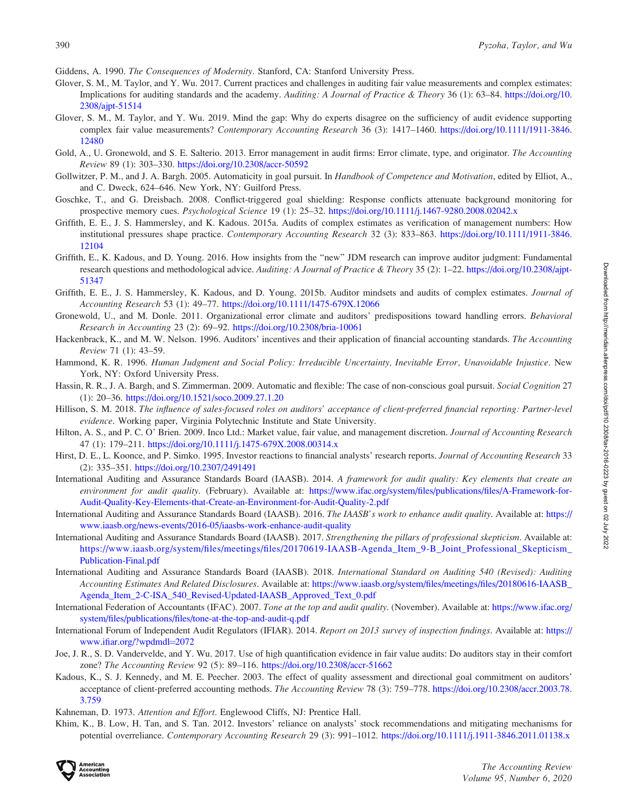<span id="page-23-0"></span>Giddens, A. 1990. The Consequences of Modernity. Stanford, CA: Stanford University Press.

- Glover, S. M., M. Taylor, and Y. Wu. 2017. Current practices and challenges in auditing fair value measurements and complex estimates: Implications for auditing standards and the academy. Auditing: A Journal of Practice & Theory 36 (1): 63–84. [https://doi.org/10.](https://doi.org/10.2308/ajpt-51514) [2308/ajpt-51514](https://doi.org/10.2308/ajpt-51514)
- Glover, S. M., M. Taylor, and Y. Wu. 2019. Mind the gap: Why do experts disagree on the sufficiency of audit evidence supporting complex fair value measurements? Contemporary Accounting Research 36 (3): 1417–1460. [https://doi.org/10.1111/1911-3846.](https://doi.org/10.1111/1911-3846.12480) [12480](https://doi.org/10.1111/1911-3846.12480)
- Gold, A., U. Gronewold, and S. E. Salterio. 2013. Error management in audit firms: Error climate, type, and originator. The Accounting Review 89 (1): 303–330. <https://doi.org/10.2308/accr-50592>
- Gollwitzer, P. M., and J. A. Bargh. 2005. Automaticity in goal pursuit. In Handbook of Competence and Motivation, edited by Elliot, A., and C. Dweck, 624–646. New York, NY: Guilford Press.
- Goschke, T., and G. Dreisbach. 2008. Conflict-triggered goal shielding: Response conflicts attenuate background monitoring for prospective memory cues. Psychological Science 19 (1): 25–32. <https://doi.org/10.1111/j.1467-9280.2008.02042.x>
- Griffith, E. E., J. S. Hammersley, and K. Kadous. 2015a. Audits of complex estimates as verification of management numbers: How institutional pressures shape practice. Contemporary Accounting Research 32 (3): 833–863. [https://doi.org/10.1111/1911-3846.](https://doi.org/10.1111/1911-3846.12104) [12104](https://doi.org/10.1111/1911-3846.12104)
- Griffith, E., K. Kadous, and D. Young. 2016. How insights from the ''new'' JDM research can improve auditor judgment: Fundamental research questions and methodological advice. Auditing: A Journal of Practice & Theory 35 (2): 1–22. [https://doi.org/10.2308/ajpt-](https://doi.org/10.2308/ajpt-51347)[51347](https://doi.org/10.2308/ajpt-51347)
- Griffith, E. E., J. S. Hammersley, K. Kadous, and D. Young. 2015b. Auditor mindsets and audits of complex estimates. Journal of Accounting Research 53 (1): 49–77. <https://doi.org/10.1111/1475-679X.12066>
- Gronewold, U., and M. Donle. 2011. Organizational error climate and auditors' predispositions toward handling errors. Behavioral Research in Accounting 23 (2): 69–92. <https://doi.org/10.2308/bria-10061>
- Hackenbrack, K., and M. W. Nelson. 1996. Auditors' incentives and their application of financial accounting standards. The Accounting Review 71 (1): 43–59.
- Hammond, K. R. 1996. Human Judgment and Social Policy: Irreducible Uncertainty, Inevitable Error, Unavoidable Injustice. New York, NY: Oxford University Press.
- Hassin, R. R., J. A. Bargh, and S. Zimmerman. 2009. Automatic and flexible: The case of non-conscious goal pursuit. Social Cognition 27 (1): 20–36. <https://doi.org/10.1521/soco.2009.27.1.20>
- Hillison, S. M. 2018. The influence of sales-focused roles on auditors' acceptance of client-preferred financial reporting: Partner-level evidence. Working paper, Virginia Polytechnic Institute and State University.
- Hilton, A. S., and P. C. O' Brien. 2009. Inco Ltd.: Market value, fair value, and management discretion. Journal of Accounting Research 47 (1): 179–211. <https://doi.org/10.1111/j.1475-679X.2008.00314.x>
- Hirst, D. E., L. Koonce, and P. Simko. 1995. Investor reactions to financial analysts' research reports. Journal of Accounting Research 33 (2): 335–351. <https://doi.org/10.2307/2491491>
- International Auditing and Assurance Standards Board (IAASB). 2014. A framework for audit quality: Key elements that create an environment for audit quality. (February). Available at: [https://www.ifac.org/system/files/publications/files/A-Framework-for-](https://www.ifac.org/system/files/publications/files/A-Framework-for-Audit-Quality-Key-Elements-that-Create-an-Environment-for-Audit-Quality-2.pdf)[Audit-Quality-Key-Elements-that-Create-an-Environment-for-Audit-Quality-2.pdf](https://www.ifac.org/system/files/publications/files/A-Framework-for-Audit-Quality-Key-Elements-that-Create-an-Environment-for-Audit-Quality-2.pdf)
- International Auditing and Assurance Standards Board (IAASB). 2016. The IAASB's work to enhance audit quality. Available at: [https://](https://www.iaasb.org/news-events/2016-05/iaasbs-work-enhance-audit-quality) [www.iaasb.org/news-events/2016-05/iaasbs-work-enhance-audit-quality](https://www.iaasb.org/news-events/2016-05/iaasbs-work-enhance-audit-quality)
- International Auditing and Assurance Standards Board (IAASB). 2017. Strengthening the pillars of professional skepticism. Available at: [https://www.iaasb.org/system/files/meetings/files/20170619-IAASB-Agenda\\_Item\\_9-B\\_Joint\\_Professional\\_Skepticism\\_](https://www.iaasb.org/system/files/meetings/files/20170619-IAASB-Agenda_Item_9-B_Joint_Professional_Skepticism_Publication-Final.pdf) [Publication-Final.pdf](https://www.iaasb.org/system/files/meetings/files/20170619-IAASB-Agenda_Item_9-B_Joint_Professional_Skepticism_Publication-Final.pdf)
- International Auditing and Assurance Standards Board (IAASB). 2018. International Standard on Auditing 540 (Revised): Auditing Accounting Estimates And Related Disclosures. Available at: [https://www.iaasb.org/system/files/meetings/files/20180616-IAASB\\_](https://www.iaasb.org/system/files/meetings/files/20180616-IAASB_Agenda_Item_2-C-ISA_540_Revised-Updated-IAASB_Approved_Text_0.pdf) [Agenda\\_Item\\_2-C-ISA\\_540\\_Revised-Updated-IAASB\\_Approved\\_Text\\_0.pdf](https://www.iaasb.org/system/files/meetings/files/20180616-IAASB_Agenda_Item_2-C-ISA_540_Revised-Updated-IAASB_Approved_Text_0.pdf)
- International Federation of Accountants (IFAC). 2007. Tone at the top and audit quality. (November). Available at: [https://www.ifac.org/](https://www.ifac.org/system/files/publications/files/tone-at-the-top-and-audit-q.pdf) [system/files/publications/files/tone-at-the-top-and-audit-q.pdf](https://www.ifac.org/system/files/publications/files/tone-at-the-top-and-audit-q.pdf)
- International Forum of Independent Audit Regulators (IFIAR). 2014. Report on 2013 survey of inspection findings. Available at: [https://](https://www.ifiar.org/?wpdmdl=2072) [www.ifiar.org/?wpdmdl](https://www.ifiar.org/?wpdmdl=2072)=[2072](https://www.ifiar.org/?wpdmdl=2072)
- Joe, J. R., S. D. Vandervelde, and Y. Wu. 2017. Use of high quantification evidence in fair value audits: Do auditors stay in their comfort zone? The Accounting Review 92 (5): 89–116. <https://doi.org/10.2308/accr-51662>
- Kadous, K., S. J. Kennedy, and M. E. Peecher. 2003. The effect of quality assessment and directional goal commitment on auditors' acceptance of client-preferred accounting methods. The Accounting Review 78 (3): 759–778. [https://doi.org/10.2308/accr.2003.78.](https://doi.org/10.2308/accr.2003.78.3.759) [3.759](https://doi.org/10.2308/accr.2003.78.3.759)
- Kahneman, D. 1973. Attention and Effort. Englewood Cliffs, NJ: Prentice Hall.
- Khim, K., B. Low, H. Tan, and S. Tan. 2012. Investors' reliance on analysts' stock recommendations and mitigating mechanisms for potential overreliance. Contemporary Accounting Research 29 (3): 991–1012. <https://doi.org/10.1111/j.1911-3846.2011.01138.x>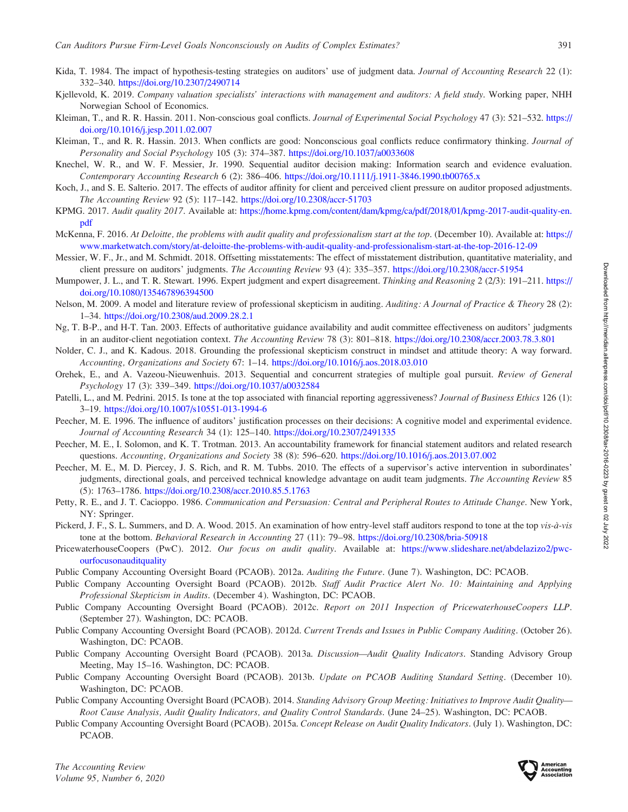- <span id="page-24-0"></span>Kida, T. 1984. The impact of hypothesis-testing strategies on auditors' use of judgment data. Journal of Accounting Research 22 (1): 332–340. <https://doi.org/10.2307/2490714>
- Kjellevold, K. 2019. Company valuation specialists' interactions with management and auditors: A field study. Working paper, NHH Norwegian School of Economics.
- Kleiman, T., and R. R. Hassin. 2011. Non-conscious goal conflicts. Journal of Experimental Social Psychology 47 (3): 521–532. [https://](https://doi.org/10.1016/j.jesp.2011.02.007) [doi.org/10.1016/j.jesp.2011.02.007](https://doi.org/10.1016/j.jesp.2011.02.007)
- Kleiman, T., and R. R. Hassin. 2013. When conflicts are good: Nonconscious goal conflicts reduce confirmatory thinking. Journal of Personality and Social Psychology 105 (3): 374–387. <https://doi.org/10.1037/a0033608>
- Knechel, W. R., and W. F. Messier, Jr. 1990. Sequential auditor decision making: Information search and evidence evaluation. Contemporary Accounting Research 6 (2): 386–406. <https://doi.org/10.1111/j.1911-3846.1990.tb00765.x>
- Koch, J., and S. E. Salterio. 2017. The effects of auditor affinity for client and perceived client pressure on auditor proposed adjustments. The Accounting Review 92 (5): 117–142. <https://doi.org/10.2308/accr-51703>
- KPMG. 2017. Audit quality 2017. Available at: [https://home.kpmg.com/content/dam/kpmg/ca/pdf/2018/01/kpmg-2017-audit-quality-en.](https://home.kpmg.com/content/dam/kpmg/ca/pdf/2018/01/kpmg-2017-audit-quality-en.pdf) [pdf](https://home.kpmg.com/content/dam/kpmg/ca/pdf/2018/01/kpmg-2017-audit-quality-en.pdf)
- McKenna, F. 2016. At Deloitte, the problems with audit quality and professionalism start at the top. (December 10). Available at: [https://](https://www.marketwatch.com/story/at-deloitte-the-problems-with-audit-quality-and-professionalism-start-at-the-top-2016-12-09) [www.marketwatch.com/story/at-deloitte-the-problems-with-audit-quality-and-professionalism-start-at-the-top-2016-12-09](https://www.marketwatch.com/story/at-deloitte-the-problems-with-audit-quality-and-professionalism-start-at-the-top-2016-12-09)
- Messier, W. F., Jr., and M. Schmidt. 2018. Offsetting misstatements: The effect of misstatement distribution, quantitative materiality, and client pressure on auditors' judgments. The Accounting Review 93 (4): 335–357. <https://doi.org/10.2308/accr-51954>
- Mumpower, J. L., and T. R. Stewart. 1996. Expert judgment and expert disagreement. Thinking and Reasoning 2 (2/3): 191–211. [https://](https://doi.org/10.1080/135467896394500) [doi.org/10.1080/135467896394500](https://doi.org/10.1080/135467896394500)
- Nelson, M. 2009. A model and literature review of professional skepticism in auditing. Auditing: A Journal of Practice & Theory 28 (2): 1–34. <https://doi.org/10.2308/aud.2009.28.2.1>
- Ng, T. B-P., and H-T. Tan. 2003. Effects of authoritative guidance availability and audit committee effectiveness on auditors' judgments in an auditor-client negotiation context. The Accounting Review 78 (3): 801–818. <https://doi.org/10.2308/accr.2003.78.3.801>
- Nolder, C. J., and K. Kadous. 2018. Grounding the professional skepticism construct in mindset and attitude theory: A way forward. Accounting, Organizations and Society 67: 1–14. <https://doi.org/10.1016/j.aos.2018.03.010>
- Orehek, E., and A. Vazeou-Nieuwenhuis. 2013. Sequential and concurrent strategies of multiple goal pursuit. Review of General Psychology 17 (3): 339–349. <https://doi.org/10.1037/a0032584>
- Patelli, L., and M. Pedrini. 2015. Is tone at the top associated with financial reporting aggressiveness? Journal of Business Ethics 126 (1): 3–19. <https://doi.org/10.1007/s10551-013-1994-6>
- Peecher, M. E. 1996. The influence of auditors' justification processes on their decisions: A cognitive model and experimental evidence. Journal of Accounting Research 34 (1): 125–140. <https://doi.org/10.2307/2491335>
- Peecher, M. E., I. Solomon, and K. T. Trotman. 2013. An accountability framework for financial statement auditors and related research questions. Accounting, Organizations and Society 38 (8): 596–620. <https://doi.org/10.1016/j.aos.2013.07.002>
- Peecher, M. E., M. D. Piercey, J. S. Rich, and R. M. Tubbs. 2010. The effects of a supervisor's active intervention in subordinates' judgments, directional goals, and perceived technical knowledge advantage on audit team judgments. The Accounting Review 85 (5): 1763–1786. <https://doi.org/10.2308/accr.2010.85.5.1763>
- Petty, R. E., and J. T. Cacioppo. 1986. Communication and Persuasion: Central and Peripheral Routes to Attitude Change. New York, NY: Springer.
- Pickerd, J. F., S. L. Summers, and D. A. Wood. 2015. An examination of how entry-level staff auditors respond to tone at the top vis-à-vis tone at the bottom. Behavioral Research in Accounting 27 (11): 79–98. <https://doi.org/10.2308/bria-50918>
- PricewaterhouseCoopers (PwC). 2012. Our focus on audit quality. Available at: [https://www.slideshare.net/abdelazizo2/pwc](https://www.slideshare.net/abdelazizo2/pwc-ourfocusonauditquality)[ourfocusonauditquality](https://www.slideshare.net/abdelazizo2/pwc-ourfocusonauditquality)
- Public Company Accounting Oversight Board (PCAOB). 2012a. Auditing the Future. (June 7). Washington, DC: PCAOB.
- Public Company Accounting Oversight Board (PCAOB). 2012b. Staff Audit Practice Alert No. 10: Maintaining and Applying Professional Skepticism in Audits. (December 4). Washington, DC: PCAOB.
- Public Company Accounting Oversight Board (PCAOB). 2012c. Report on 2011 Inspection of PricewaterhouseCoopers LLP. (September 27). Washington, DC: PCAOB.
- Public Company Accounting Oversight Board (PCAOB). 2012d. Current Trends and Issues in Public Company Auditing. (October 26). Washington, DC: PCAOB.
- Public Company Accounting Oversight Board (PCAOB). 2013a. Discussion—Audit Quality Indicators. Standing Advisory Group Meeting, May 15–16. Washington, DC: PCAOB.
- Public Company Accounting Oversight Board (PCAOB). 2013b. Update on PCAOB Auditing Standard Setting. (December 10). Washington, DC: PCAOB.
- Public Company Accounting Oversight Board (PCAOB). 2014. Standing Advisory Group Meeting: Initiatives to Improve Audit Quality— Root Cause Analysis, Audit Quality Indicators, and Quality Control Standards. (June 24–25). Washington, DC: PCAOB.
- Public Company Accounting Oversight Board (PCAOB). 2015a. Concept Release on Audit Quality Indicators. (July 1). Washington, DC: PCAOB.

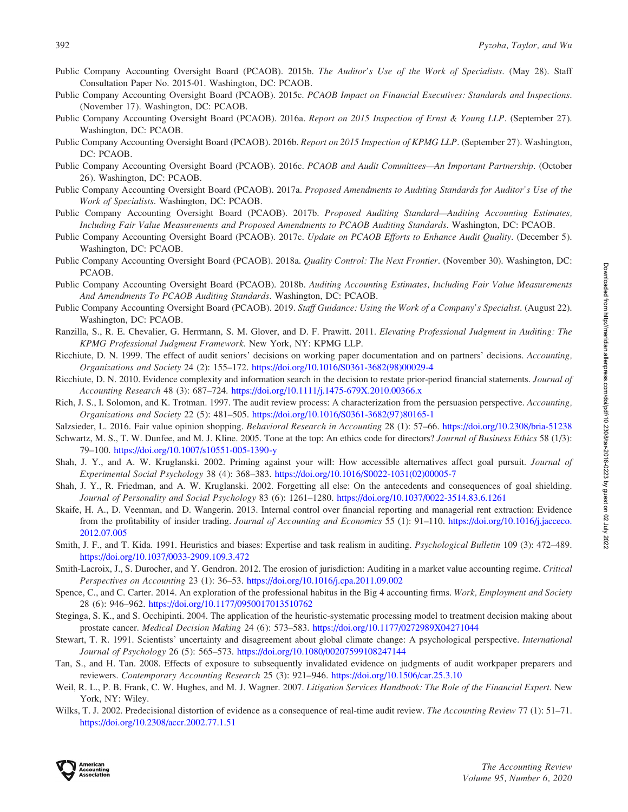- <span id="page-25-0"></span>Public Company Accounting Oversight Board (PCAOB). 2015b. The Auditor's Use of the Work of Specialists. (May 28). Staff Consultation Paper No. 2015-01. Washington, DC: PCAOB.
- Public Company Accounting Oversight Board (PCAOB). 2015c. PCAOB Impact on Financial Executives: Standards and Inspections. (November 17). Washington, DC: PCAOB.
- Public Company Accounting Oversight Board (PCAOB). 2016a. Report on 2015 Inspection of Ernst & Young LLP. (September 27). Washington, DC: PCAOB.
- Public Company Accounting Oversight Board (PCAOB). 2016b. Report on 2015 Inspection of KPMG LLP. (September 27). Washington, DC: PCAOB.
- Public Company Accounting Oversight Board (PCAOB). 2016c. PCAOB and Audit Committees—An Important Partnership. (October 26). Washington, DC: PCAOB.
- Public Company Accounting Oversight Board (PCAOB). 2017a. Proposed Amendments to Auditing Standards for Auditor's Use of the Work of Specialists. Washington, DC: PCAOB.
- Public Company Accounting Oversight Board (PCAOB). 2017b. Proposed Auditing Standard—Auditing Accounting Estimates, Including Fair Value Measurements and Proposed Amendments to PCAOB Auditing Standards. Washington, DC: PCAOB.
- Public Company Accounting Oversight Board (PCAOB). 2017c. Update on PCAOB Efforts to Enhance Audit Quality. (December 5). Washington, DC: PCAOB.
- Public Company Accounting Oversight Board (PCAOB). 2018a. Quality Control: The Next Frontier. (November 30). Washington, DC: PCAOB.
- Public Company Accounting Oversight Board (PCAOB). 2018b. Auditing Accounting Estimates, Including Fair Value Measurements And Amendments To PCAOB Auditing Standards. Washington, DC: PCAOB.
- Public Company Accounting Oversight Board (PCAOB). 2019. Staff Guidance: Using the Work of a Company's Specialist. (August 22). Washington, DC: PCAOB.
- Ranzilla, S., R. E. Chevalier, G. Herrmann, S. M. Glover, and D. F. Prawitt. 2011. Elevating Professional Judgment in Auditing: The KPMG Professional Judgment Framework. New York, NY: KPMG LLP.
- Ricchiute, D. N. 1999. The effect of audit seniors' decisions on working paper documentation and on partners' decisions. Accounting, Organizations and Society 24 (2): 155–172. [https://doi.org/10.1016/S0361-3682\(98\)00029-4](https://doi.org/10.1016/S0361-3682(98)00029-4)
- Ricchiute, D. N. 2010. Evidence complexity and information search in the decision to restate prior-period financial statements. Journal of Accounting Research 48 (3): 687–724. <https://doi.org/10.1111/j.1475-679X.2010.00366.x>
- Rich, J. S., I. Solomon, and K. Trotman. 1997. The audit review process: A characterization from the persuasion perspective. Accounting, Organizations and Society 22 (5): 481–505. [https://doi.org/10.1016/S0361-3682\(97\)80165-1](https://doi.org/10.1016/S0361-3682(97)80165-1)

Salzsieder, L. 2016. Fair value opinion shopping. Behavioral Research in Accounting 28 (1): 57–66. <https://doi.org/10.2308/bria-51238>

- Schwartz, M. S., T. W. Dunfee, and M. J. Kline. 2005. Tone at the top: An ethics code for directors? Journal of Business Ethics 58 (1/3): 79–100. <https://doi.org/10.1007/s10551-005-1390-y>
- Shah, J. Y., and A. W. Kruglanski. 2002. Priming against your will: How accessible alternatives affect goal pursuit. Journal of Experimental Social Psychology 38 (4): 368–383. [https://doi.org/10.1016/S0022-1031\(02\)00005-7](https://doi.org/10.1016/S0022-1031(02)00005-7)
- Shah, J. Y., R. Friedman, and A. W. Kruglanski. 2002. Forgetting all else: On the antecedents and consequences of goal shielding. Journal of Personality and Social Psychology 83 (6): 1261–1280. <https://doi.org/10.1037/0022-3514.83.6.1261>
- Skaife, H. A., D. Veenman, and D. Wangerin. 2013. Internal control over financial reporting and managerial rent extraction: Evidence from the profitability of insider trading. Journal of Accounting and Economics 55 (1): 91-110. [https://doi.org/10.1016/j.jacceco.](https://doi.org/10.1016/j.jacceco.2012.07.005) [2012.07.005](https://doi.org/10.1016/j.jacceco.2012.07.005)
- Smith, J. F., and T. Kida. 1991. Heuristics and biases: Expertise and task realism in auditing. Psychological Bulletin 109 (3): 472–489. <https://doi.org/10.1037/0033-2909.109.3.472>
- Smith-Lacroix, J., S. Durocher, and Y. Gendron. 2012. The erosion of jurisdiction: Auditing in a market value accounting regime. Critical Perspectives on Accounting 23 (1): 36–53. <https://doi.org/10.1016/j.cpa.2011.09.002>
- Spence, C., and C. Carter. 2014. An exploration of the professional habitus in the Big 4 accounting firms. Work, Employment and Society 28 (6): 946–962. <https://doi.org/10.1177/0950017013510762>
- Steginga, S. K., and S. Occhipinti. 2004. The application of the heuristic-systematic processing model to treatment decision making about prostate cancer. Medical Decision Making 24 (6): 573–583. <https://doi.org/10.1177/0272989X04271044>
- Stewart, T. R. 1991. Scientists' uncertainty and disagreement about global climate change: A psychological perspective. International Journal of Psychology 26 (5): 565–573. <https://doi.org/10.1080/00207599108247144>
- Tan, S., and H. Tan. 2008. Effects of exposure to subsequently invalidated evidence on judgments of audit workpaper preparers and reviewers. Contemporary Accounting Research 25 (3): 921–946. <https://doi.org/10.1506/car.25.3.10>
- Weil, R. L., P. B. Frank, C. W. Hughes, and M. J. Wagner. 2007. Litigation Services Handbook: The Role of the Financial Expert. New York, NY: Wiley.
- Wilks, T. J. 2002. Predecisional distortion of evidence as a consequence of real-time audit review. The Accounting Review 77 (1): 51–71. <https://doi.org/10.2308/accr.2002.77.1.51>

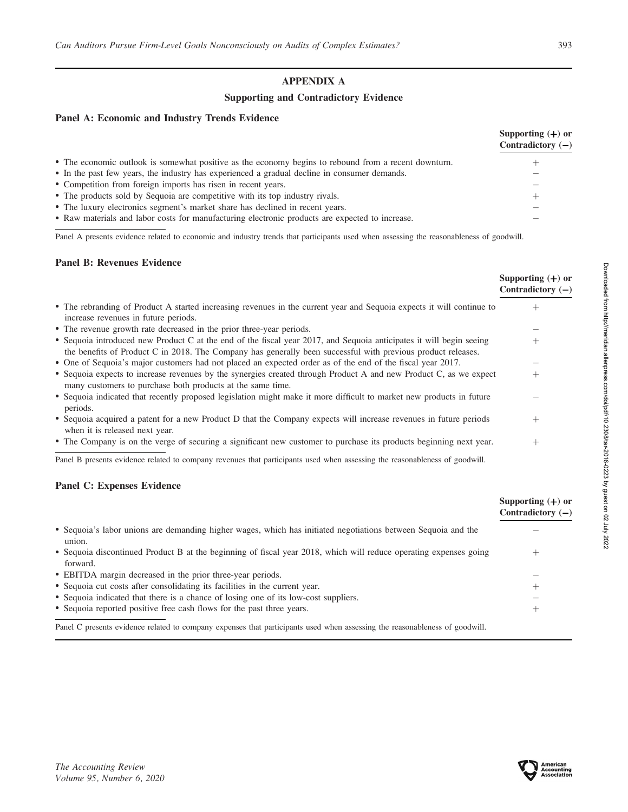# APPENDIX A

# Supporting and Contradictory Evidence

# Panel A: Economic and Industry Trends Evidence

|                                                                                                      | Supporting $(+)$ or<br>Contradictory $(-)$ |
|------------------------------------------------------------------------------------------------------|--------------------------------------------|
| • The economic outlook is somewhat positive as the economy begins to rebound from a recent downturn. |                                            |
| • In the past few years, the industry has experienced a gradual decline in consumer demands.         |                                            |
| • Competition from foreign imports has risen in recent years.                                        |                                            |
| • The products sold by Sequoia are competitive with its top industry rivals.                         | $\pm$                                      |
| • The luxury electronics segment's market share has declined in recent years.                        |                                            |
| • Raw materials and labor costs for manufacturing electronic products are expected to increase.      |                                            |

Panel A presents evidence related to economic and industry trends that participants used when assessing the reasonableness of goodwill.

### Panel B: Revenues Evidence

|                                                                                                                                                                                                                                     | Supporting $(+)$ or<br>Contradictory $(-)$ |
|-------------------------------------------------------------------------------------------------------------------------------------------------------------------------------------------------------------------------------------|--------------------------------------------|
| • The rebranding of Product A started increasing revenues in the current year and Sequoia expects it will continue to<br>increase revenues in future periods.                                                                       | $^{+}$                                     |
| • The revenue growth rate decreased in the prior three-year periods.                                                                                                                                                                |                                            |
| • Sequoia introduced new Product C at the end of the fiscal year 2017, and Sequoia anticipates it will begin seeing<br>the benefits of Product C in 2018. The Company has generally been successful with previous product releases. | $^+$                                       |
| • One of Sequoia's major customers had not placed an expected order as of the end of the fiscal year 2017.                                                                                                                          |                                            |
| • Sequoia expects to increase revenues by the synergies created through Product A and new Product C, as we expect<br>many customers to purchase both products at the same time.                                                     | $^{+}$                                     |
| • Sequoia indicated that recently proposed legislation might make it more difficult to market new products in future<br>periods.                                                                                                    |                                            |
| • Sequoia acquired a patent for a new Product D that the Company expects will increase revenues in future periods<br>when it is released next year.                                                                                 | $^{+}$                                     |
| • The Company is on the verge of securing a significant new customer to purchase its products beginning next year.                                                                                                                  | $^{+}$                                     |
| Panel B presents evidence related to company revenues that participants used when assessing the reasonableness of goodwill.                                                                                                         |                                            |

# Panel C: Expenses Evidence

|                                                                                                                               | Supporting $(+)$ or<br>Contradictory $(-)$ |
|-------------------------------------------------------------------------------------------------------------------------------|--------------------------------------------|
| • Sequoia's labor unions are demanding higher wages, which has initiated negotiations between Sequoia and the<br>union.       |                                            |
| • Sequoia discontinued Product B at the beginning of fiscal year 2018, which will reduce operating expenses going<br>forward. |                                            |
| • EBITDA margin decreased in the prior three-year periods.                                                                    |                                            |
| • Sequoia cut costs after consolidating its facilities in the current year.                                                   | ∸                                          |
| • Sequoia indicated that there is a chance of losing one of its low-cost suppliers.                                           |                                            |
| • Sequoia reported positive free cash flows for the past three years.                                                         | -                                          |
| Panel C presents evidence related to company expenses that participants used when assessing the reasonableness of goodwill.   |                                            |